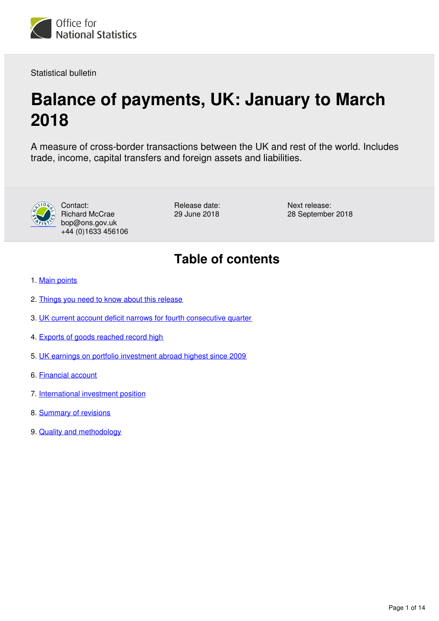

Statistical bulletin

# **Balance of payments, UK: January to March 2018**

A measure of cross-border transactions between the UK and rest of the world. Includes trade, income, capital transfers and foreign assets and liabilities.



Contact: Richard McCrae bop@ons.gov.uk +44 (0)1633 456106 Release date: 29 June 2018

Next release: 28 September 2018

# **Table of contents**

- 1. [Main points](#page-1-0)
- 2. [Things you need to know about this release](#page-1-1)
- 3. [UK current account deficit narrows for fourth consecutive quarter](#page-2-0)
- 4. [Exports of goods reached record high](#page-3-0)
- 5. [UK earnings on portfolio investment abroad highest since 2009](#page-4-0)
- 6. [Financial account](#page-7-0)
- 7. [International investment position](#page-8-0)
- 8. [Summary of revisions](#page-11-0)
- 9. [Quality and methodology](#page-12-0)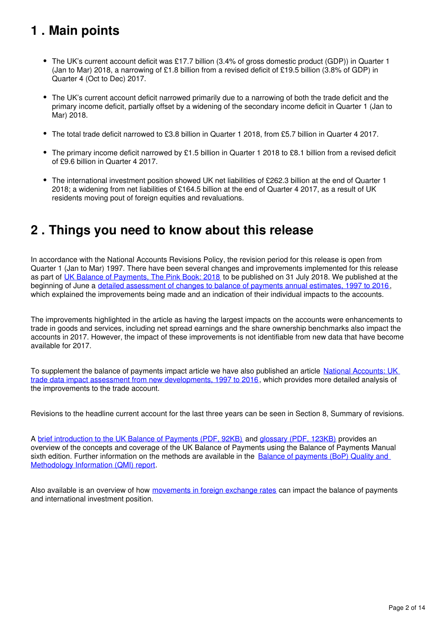# <span id="page-1-0"></span>**1 . Main points**

- The UK's current account deficit was £17.7 billion (3.4% of gross domestic product (GDP)) in Quarter 1 (Jan to Mar) 2018, a narrowing of £1.8 billion from a revised deficit of £19.5 billion (3.8% of GDP) in Quarter 4 (Oct to Dec) 2017.
- The UK's current account deficit narrowed primarily due to a narrowing of both the trade deficit and the primary income deficit, partially offset by a widening of the secondary income deficit in Quarter 1 (Jan to Mar) 2018.
- The total trade deficit narrowed to £3.8 billion in Quarter 1 2018, from £5.7 billion in Quarter 4 2017.
- The primary income deficit narrowed by £1.5 billion in Quarter 1 2018 to £8.1 billion from a revised deficit of £9.6 billion in Quarter 4 2017.
- The international investment position showed UK net liabilities of £262.3 billion at the end of Quarter 1 2018; a widening from net liabilities of £164.5 billion at the end of Quarter 4 2017, as a result of UK residents moving pout of foreign equities and revaluations.

# <span id="page-1-1"></span>**2 . Things you need to know about this release**

In accordance with the National Accounts Revisions Policy, the revision period for this release is open from Quarter 1 (Jan to Mar) 1997. There have been several changes and improvements implemented for this release as part of [UK Balance of Payments, The Pink Book: 2018](https://www.ons.gov.uk/releases/ukbalanceofpaymentsthepinkbook2018) to be published on 31 July 2018. We published at the beginning of June a [detailed assessment of changes to balance of payments annual estimates, 1997 to 2016,](https://www.ons.gov.uk/economy/nationalaccounts/uksectoraccounts/articles/nationalaccountsarticles/detailedassessmentofchangestobalanceofpaymentsannualestimates1997to2016) which explained the improvements being made and an indication of their individual impacts to the accounts.

The improvements highlighted in the article as having the largest impacts on the accounts were enhancements to trade in goods and services, including net spread earnings and the share ownership benchmarks also impact the accounts in 2017. However, the impact of these improvements is not identifiable from new data that have become available for 2017.

To supplement the balance of payments impact article we have also published an article [National Accounts: UK](https://www.ons.gov.uk/economy/nationalaccounts/uksectoraccounts/articles/nationalaccountsarticles/uktradedataimpactassessmentfromnewdevelopments1997to2016)  [trade data impact assessment from new developments, 1997 to 2016,](https://www.ons.gov.uk/economy/nationalaccounts/uksectoraccounts/articles/nationalaccountsarticles/uktradedataimpactassessmentfromnewdevelopments1997to2016) which provides more detailed analysis of the improvements to the trade account.

Revisions to the headline current account for the last three years can be seen in Section 8, Summary of revisions.

A [brief introduction to the UK Balance of Payments \(PDF, 92KB\)](http://www.ons.gov.uk/file?uri=/economy/nationalaccounts/balanceofpayments/methodologies/balanceofpayments/anintroductiontotheukbopbpm6tcm77279821.pdf) and [glossary \(PDF, 123KB\)](https://www.ons.gov.uk/file?uri=/economy/nationalaccounts/balanceofpayments/methodologies/balanceofpayments/azglossarytcm77279825.pdf) provides an overview of the concepts and coverage of the UK Balance of Payments using the Balance of Payments Manual sixth edition. Further information on the methods are available in the Balance of payments (BoP) Quality and [Methodology Information \(QMI\) report.](https://www.ons.gov.uk/economy/nationalaccounts/balanceofpayments/methodologies/balanceofpaymentsqmi)

Also available is an overview of how [movements in foreign exchange rates](https://www.ons.gov.uk/economy/nationalaccounts/balanceofpayments/bulletins/balanceofpayments/julytosept2016#movements-in-foreign-exchange-rates) can impact the balance of payments and international investment position.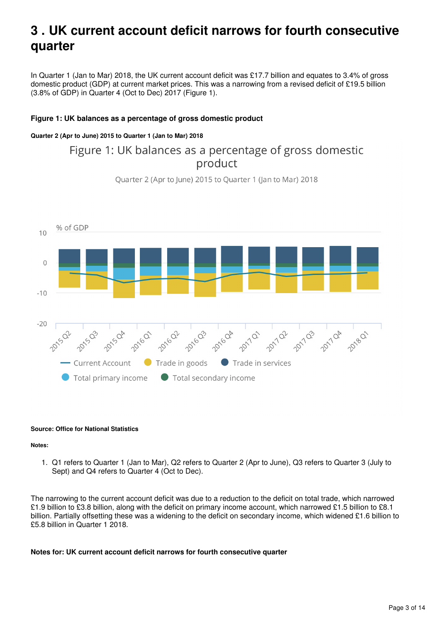# <span id="page-2-0"></span>**3 . UK current account deficit narrows for fourth consecutive quarter**

In Quarter 1 (Jan to Mar) 2018, the UK current account deficit was £17.7 billion and equates to 3.4% of gross domestic product (GDP) at current market prices. This was a narrowing from a revised deficit of £19.5 billion (3.8% of GDP) in Quarter 4 (Oct to Dec) 2017 (Figure 1).

## **Figure 1: UK balances as a percentage of gross domestic product**

## **Quarter 2 (Apr to June) 2015 to Quarter 1 (Jan to Mar) 2018**

# Figure 1: UK balances as a percentage of gross domestic product



Quarter 2 (Apr to June) 2015 to Quarter 1 (Jan to Mar) 2018

## **Source: Office for National Statistics**

## **Notes:**

1. Q1 refers to Quarter 1 (Jan to Mar), Q2 refers to Quarter 2 (Apr to June), Q3 refers to Quarter 3 (July to Sept) and Q4 refers to Quarter 4 (Oct to Dec).

The narrowing to the current account deficit was due to a reduction to the deficit on total trade, which narrowed £1.9 billion to £3.8 billion, along with the deficit on primary income account, which narrowed £1.5 billion to £8.1 billion. Partially offsetting these was a widening to the deficit on secondary income, which widened £1.6 billion to £5.8 billion in Quarter 1 2018.

## **Notes for: UK current account deficit narrows for fourth consecutive quarter**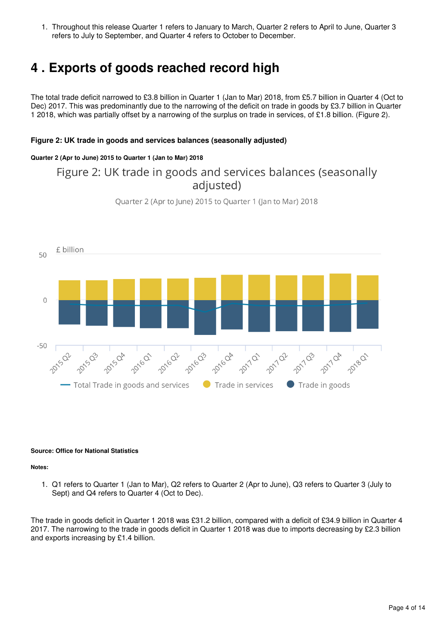1. Throughout this release Quarter 1 refers to January to March, Quarter 2 refers to April to June, Quarter 3 refers to July to September, and Quarter 4 refers to October to December.

# <span id="page-3-0"></span>**4 . Exports of goods reached record high**

The total trade deficit narrowed to £3.8 billion in Quarter 1 (Jan to Mar) 2018, from £5.7 billion in Quarter 4 (Oct to Dec) 2017. This was predominantly due to the narrowing of the deficit on trade in goods by £3.7 billion in Quarter 1 2018, which was partially offset by a narrowing of the surplus on trade in services, of £1.8 billion. (Figure 2).

## **Figure 2: UK trade in goods and services balances (seasonally adjusted)**

## **Quarter 2 (Apr to June) 2015 to Quarter 1 (Jan to Mar) 2018**

# Figure 2: UK trade in goods and services balances (seasonally adjusted)





## **Source: Office for National Statistics**

## **Notes:**

1. Q1 refers to Quarter 1 (Jan to Mar), Q2 refers to Quarter 2 (Apr to June), Q3 refers to Quarter 3 (July to Sept) and Q4 refers to Quarter 4 (Oct to Dec).

The trade in goods deficit in Quarter 1 2018 was £31.2 billion, compared with a deficit of £34.9 billion in Quarter 4 2017. The narrowing to the trade in goods deficit in Quarter 1 2018 was due to imports decreasing by £2.3 billion and exports increasing by £1.4 billion.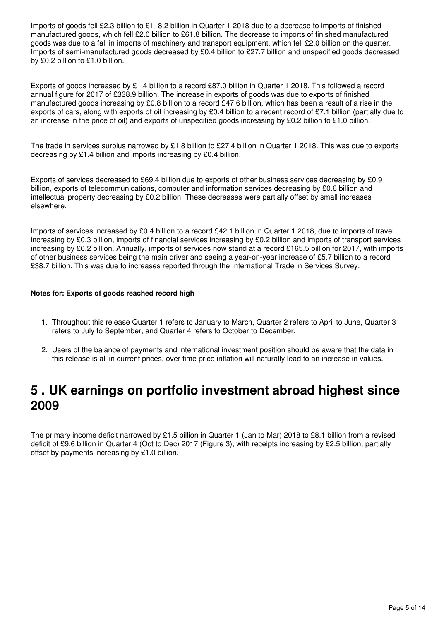Imports of goods fell £2.3 billion to £118.2 billion in Quarter 1 2018 due to a decrease to imports of finished manufactured goods, which fell £2.0 billion to £61.8 billion. The decrease to imports of finished manufactured goods was due to a fall in imports of machinery and transport equipment, which fell £2.0 billion on the quarter. Imports of semi-manufactured goods decreased by £0.4 billion to £27.7 billion and unspecified goods decreased by £0.2 billion to £1.0 billion.

Exports of goods increased by £1.4 billion to a record £87.0 billion in Quarter 1 2018. This followed a record annual figure for 2017 of £338.9 billion. The increase in exports of goods was due to exports of finished manufactured goods increasing by £0.8 billion to a record £47.6 billion, which has been a result of a rise in the exports of cars, along with exports of oil increasing by £0.4 billion to a recent record of £7.1 billion (partially due to an increase in the price of oil) and exports of unspecified goods increasing by £0.2 billion to £1.0 billion.

The trade in services surplus narrowed by £1.8 billion to £27.4 billion in Quarter 1 2018. This was due to exports decreasing by £1.4 billion and imports increasing by £0.4 billion.

Exports of services decreased to £69.4 billion due to exports of other business services decreasing by £0.9 billion, exports of telecommunications, computer and information services decreasing by £0.6 billion and intellectual property decreasing by £0.2 billion. These decreases were partially offset by small increases elsewhere.

Imports of services increased by £0.4 billion to a record £42.1 billion in Quarter 1 2018, due to imports of travel increasing by £0.3 billion, imports of financial services increasing by £0.2 billion and imports of transport services increasing by £0.2 billion. Annually, imports of services now stand at a record £165.5 billion for 2017, with imports of other business services being the main driver and seeing a year-on-year increase of £5.7 billion to a record £38.7 billion. This was due to increases reported through the International Trade in Services Survey.

## **Notes for: Exports of goods reached record high**

- 1. Throughout this release Quarter 1 refers to January to March, Quarter 2 refers to April to June, Quarter 3 refers to July to September, and Quarter 4 refers to October to December.
- 2. Users of the balance of payments and international investment position should be aware that the data in this release is all in current prices, over time price inflation will naturally lead to an increase in values.

# <span id="page-4-0"></span>**5 . UK earnings on portfolio investment abroad highest since 2009**

The primary income deficit narrowed by £1.5 billion in Quarter 1 (Jan to Mar) 2018 to £8.1 billion from a revised deficit of £9.6 billion in Quarter 4 (Oct to Dec) 2017 (Figure 3), with receipts increasing by £2.5 billion, partially offset by payments increasing by £1.0 billion.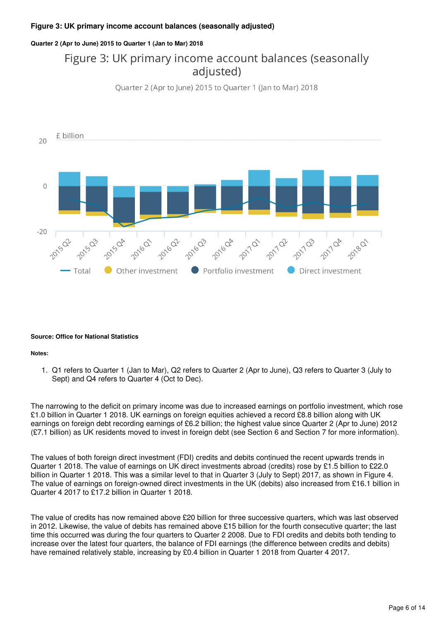## **Figure 3: UK primary income account balances (seasonally adjusted)**

**Quarter 2 (Apr to June) 2015 to Quarter 1 (Jan to Mar) 2018**

# Figure 3: UK primary income account balances (seasonally adjusted)





## **Source: Office for National Statistics**

#### **Notes:**

1. Q1 refers to Quarter 1 (Jan to Mar), Q2 refers to Quarter 2 (Apr to June), Q3 refers to Quarter 3 (July to Sept) and Q4 refers to Quarter 4 (Oct to Dec).

The narrowing to the deficit on primary income was due to increased earnings on portfolio investment, which rose £1.0 billion in Quarter 1 2018. UK earnings on foreign equities achieved a record £8.8 billion along with UK earnings on foreign debt recording earnings of £6.2 billion; the highest value since Quarter 2 (Apr to June) 2012 (£7.1 billion) as UK residents moved to invest in foreign debt (see Section 6 and Section 7 for more information).

The values of both foreign direct investment (FDI) credits and debits continued the recent upwards trends in Quarter 1 2018. The value of earnings on UK direct investments abroad (credits) rose by £1.5 billion to £22.0 billion in Quarter 1 2018. This was a similar level to that in Quarter 3 (July to Sept) 2017, as shown in Figure 4. The value of earnings on foreign-owned direct investments in the UK (debits) also increased from £16.1 billion in Quarter 4 2017 to £17.2 billion in Quarter 1 2018.

The value of credits has now remained above £20 billion for three successive quarters, which was last observed in 2012. Likewise, the value of debits has remained above £15 billion for the fourth consecutive quarter; the last time this occurred was during the four quarters to Quarter 2 2008. Due to FDI credits and debits both tending to increase over the latest four quarters, the balance of FDI earnings (the difference between credits and debits) have remained relatively stable, increasing by £0.4 billion in Quarter 1 2018 from Quarter 4 2017.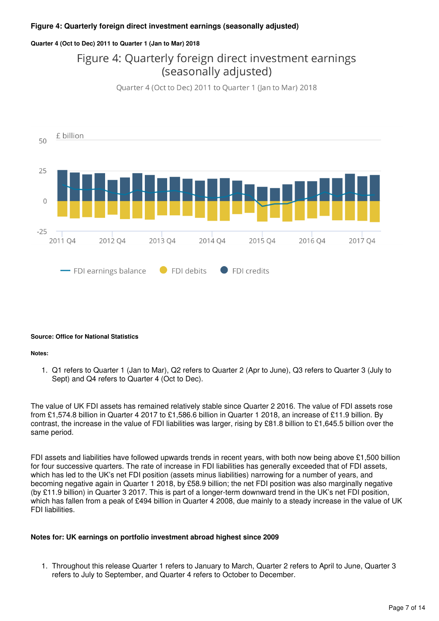## **Figure 4: Quarterly foreign direct investment earnings (seasonally adjusted)**

## **Quarter 4 (Oct to Dec) 2011 to Quarter 1 (Jan to Mar) 2018**

# Figure 4: Quarterly foreign direct investment earnings (seasonally adjusted)

Quarter 4 (Oct to Dec) 2011 to Quarter 1 (Jan to Mar) 2018



## **Source: Office for National Statistics**

## **Notes:**

1. Q1 refers to Quarter 1 (Jan to Mar), Q2 refers to Quarter 2 (Apr to June), Q3 refers to Quarter 3 (July to Sept) and Q4 refers to Quarter 4 (Oct to Dec).

The value of UK FDI assets has remained relatively stable since Quarter 2 2016. The value of FDI assets rose from £1,574.8 billion in Quarter 4 2017 to £1,586.6 billion in Quarter 1 2018, an increase of £11.9 billion. By contrast, the increase in the value of FDI liabilities was larger, rising by £81.8 billion to £1,645.5 billion over the same period.

FDI assets and liabilities have followed upwards trends in recent years, with both now being above £1,500 billion for four successive quarters. The rate of increase in FDI liabilities has generally exceeded that of FDI assets, which has led to the UK's net FDI position (assets minus liabilities) narrowing for a number of years, and becoming negative again in Quarter 1 2018, by £58.9 billion; the net FDI position was also marginally negative (by £11.9 billion) in Quarter 3 2017. This is part of a longer-term downward trend in the UK's net FDI position, which has fallen from a peak of £494 billion in Quarter 4 2008, due mainly to a steady increase in the value of UK FDI liabilities.

## **Notes for: UK earnings on portfolio investment abroad highest since 2009**

1. Throughout this release Quarter 1 refers to January to March, Quarter 2 refers to April to June, Quarter 3 refers to July to September, and Quarter 4 refers to October to December.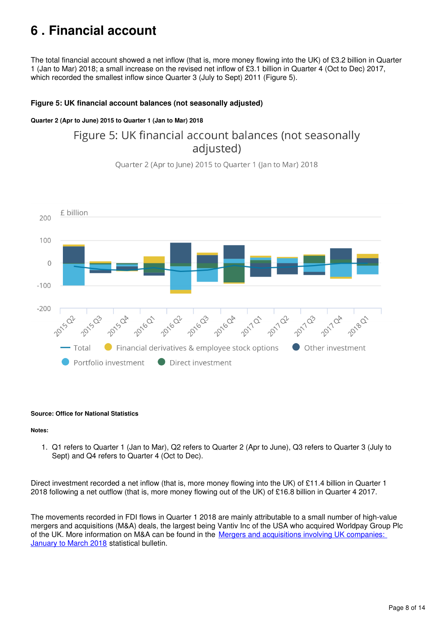# <span id="page-7-0"></span>**6 . Financial account**

The total financial account showed a net inflow (that is, more money flowing into the UK) of £3.2 billion in Quarter 1 (Jan to Mar) 2018; a small increase on the revised net inflow of £3.1 billion in Quarter 4 (Oct to Dec) 2017, which recorded the smallest inflow since Quarter 3 (July to Sept) 2011 (Figure 5).

## **Figure 5: UK financial account balances (not seasonally adjusted)**

## **Quarter 2 (Apr to June) 2015 to Quarter 1 (Jan to Mar) 2018**

# Figure 5: UK financial account balances (not seasonally adjusted)



Quarter 2 (Apr to June) 2015 to Quarter 1 (Jan to Mar) 2018

## **Source: Office for National Statistics**

## **Notes:**

1. Q1 refers to Quarter 1 (Jan to Mar), Q2 refers to Quarter 2 (Apr to June), Q3 refers to Quarter 3 (July to Sept) and Q4 refers to Quarter 4 (Oct to Dec).

Direct investment recorded a net inflow (that is, more money flowing into the UK) of £11.4 billion in Quarter 1 2018 following a net outflow (that is, more money flowing out of the UK) of £16.8 billion in Quarter 4 2017.

The movements recorded in FDI flows in Quarter 1 2018 are mainly attributable to a small number of high-value mergers and acquisitions (M&A) deals, the largest being Vantiv Inc of the USA who acquired Worldpay Group Plc of the UK. More information on M&A can be found in the Mergers and acquisitions involving UK companies: January to March 2018 statistical bulletin.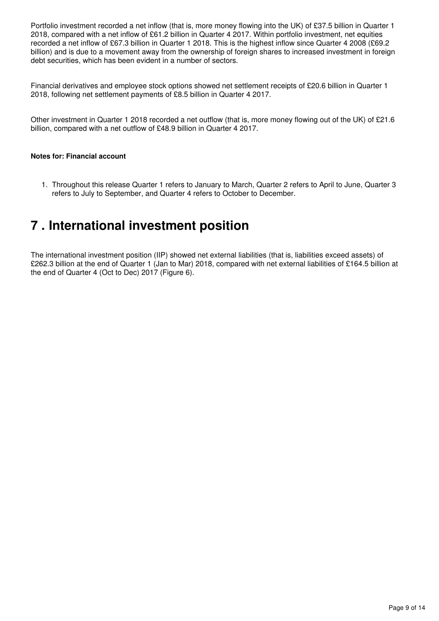Portfolio investment recorded a net inflow (that is, more money flowing into the UK) of £37.5 billion in Quarter 1 2018, compared with a net inflow of £61.2 billion in Quarter 4 2017. Within portfolio investment, net equities recorded a net inflow of £67.3 billion in Quarter 1 2018. This is the highest inflow since Quarter 4 2008 (£69.2 billion) and is due to a movement away from the ownership of foreign shares to increased investment in foreign debt securities, which has been evident in a number of sectors.

Financial derivatives and employee stock options showed net settlement receipts of £20.6 billion in Quarter 1 2018, following net settlement payments of £8.5 billion in Quarter 4 2017.

Other investment in Quarter 1 2018 recorded a net outflow (that is, more money flowing out of the UK) of £21.6 billion, compared with a net outflow of £48.9 billion in Quarter 4 2017.

## **Notes for: Financial account**

1. Throughout this release Quarter 1 refers to January to March, Quarter 2 refers to April to June, Quarter 3 refers to July to September, and Quarter 4 refers to October to December.

# <span id="page-8-0"></span>**7 . International investment position**

The international investment position (IIP) showed net external liabilities (that is, liabilities exceed assets) of £262.3 billion at the end of Quarter 1 (Jan to Mar) 2018, compared with net external liabilities of £164.5 billion at the end of Quarter 4 (Oct to Dec) 2017 (Figure 6).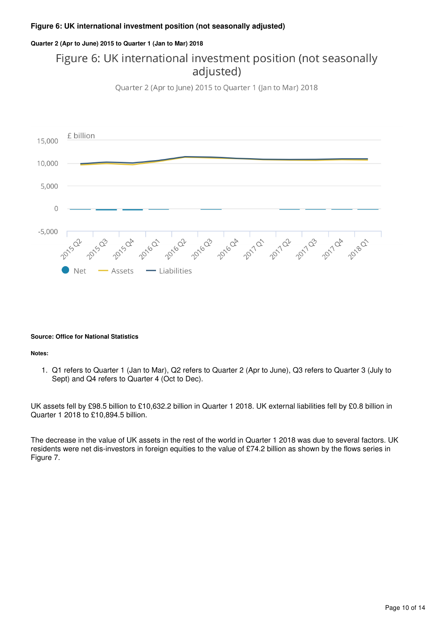## **Figure 6: UK international investment position (not seasonally adjusted)**

## **Quarter 2 (Apr to June) 2015 to Quarter 1 (Jan to Mar) 2018**

# Figure 6: UK international investment position (not seasonally adjusted)

Quarter 2 (Apr to June) 2015 to Quarter 1 (Jan to Mar) 2018



#### **Source: Office for National Statistics**

#### **Notes:**

1. Q1 refers to Quarter 1 (Jan to Mar), Q2 refers to Quarter 2 (Apr to June), Q3 refers to Quarter 3 (July to Sept) and Q4 refers to Quarter 4 (Oct to Dec).

UK assets fell by £98.5 billion to £10,632.2 billion in Quarter 1 2018. UK external liabilities fell by £0.8 billion in Quarter 1 2018 to £10,894.5 billion.

The decrease in the value of UK assets in the rest of the world in Quarter 1 2018 was due to several factors. UK residents were net dis-investors in foreign equities to the value of £74.2 billion as shown by the flows series in Figure 7.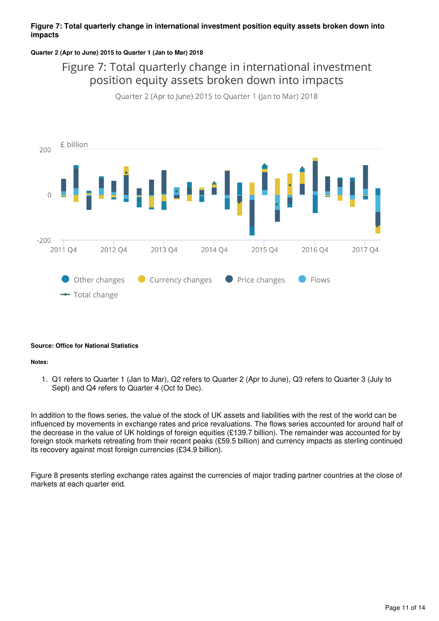## **Figure 7: Total quarterly change in international investment position equity assets broken down into impacts**

## **Quarter 2 (Apr to June) 2015 to Quarter 1 (Jan to Mar) 2018**

# Figure 7: Total quarterly change in international investment position equity assets broken down into impacts

Quarter 2 (Apr to June) 2015 to Quarter 1 (Jan to Mar) 2018



## **Source: Office for National Statistics**

## **Notes:**

1. Q1 refers to Quarter 1 (Jan to Mar), Q2 refers to Quarter 2 (Apr to June), Q3 refers to Quarter 3 (July to Sept) and Q4 refers to Quarter 4 (Oct to Dec).

In addition to the flows series, the value of the stock of UK assets and liabilities with the rest of the world can be influenced by movements in exchange rates and price revaluations. The flows series accounted for around half of the decrease in the value of UK holdings of foreign equities (£139.7 billion). The remainder was accounted for by foreign stock markets retreating from their recent peaks (£59.5 billion) and currency impacts as sterling continued its recovery against most foreign currencies (£34.9 billion).

Figure 8 presents sterling exchange rates against the currencies of major trading partner countries at the close of markets at each quarter end.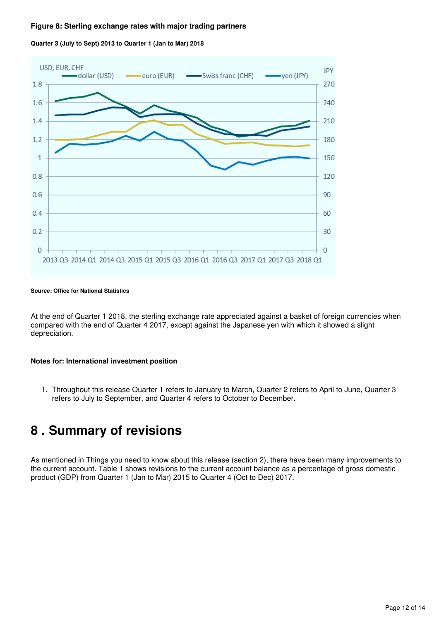## **Figure 8: Sterling exchange rates with major trading partners**

**Quarter 3 (July to Sept) 2013 to Quarter 1 (Jan to Mar) 2018**



#### **Source: Office for National Statistics**

At the end of Quarter 1 2018, the sterling exchange rate appreciated against a basket of foreign currencies when compared with the end of Quarter 4 2017, except against the Japanese yen with which it showed a slight depreciation.

## **Notes for: International investment position**

1. Throughout this release Quarter 1 refers to January to March, Quarter 2 refers to April to June, Quarter 3 refers to July to September, and Quarter 4 refers to October to December.

# <span id="page-11-0"></span>**8 . Summary of revisions**

As mentioned in Things you need to know about this release (section 2), there have been many improvements to the current account. Table 1 shows revisions to the current account balance as a percentage of gross domestic product (GDP) from Quarter 1 (Jan to Mar) 2015 to Quarter 4 (Oct to Dec) 2017.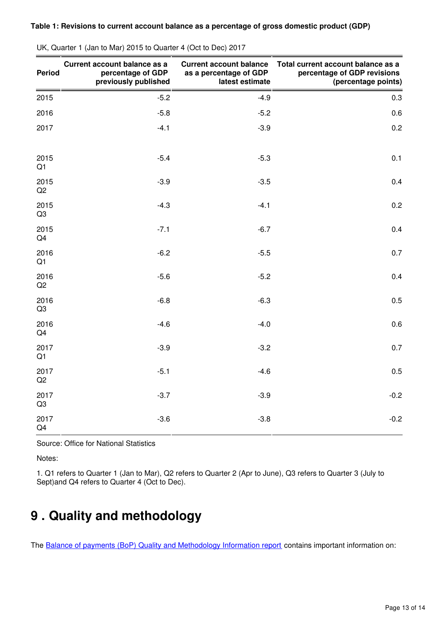| <b>Period</b> | Current account balance as a<br>percentage of GDP<br>previously published | <b>Current account balance</b><br>as a percentage of GDP<br>latest estimate | Total current account balance as a<br>percentage of GDP revisions<br>(percentage points) |
|---------------|---------------------------------------------------------------------------|-----------------------------------------------------------------------------|------------------------------------------------------------------------------------------|
| 2015          | $-5.2$                                                                    | $-4.9$                                                                      | 0.3                                                                                      |
| 2016          | $-5.8$                                                                    | $-5.2$                                                                      | $0.6\,$                                                                                  |
| 2017          | $-4.1$                                                                    | $-3.9$                                                                      | 0.2                                                                                      |
| 2015<br>Q1    | $-5.4$                                                                    | $-5.3$                                                                      | 0.1                                                                                      |
| 2015<br>Q2    | $-3.9$                                                                    | $-3.5$                                                                      | 0.4                                                                                      |
| 2015<br>Q3    | $-4.3$                                                                    | $-4.1$                                                                      | 0.2                                                                                      |
| 2015<br>Q4    | $-7.1$                                                                    | $-6.7$                                                                      | 0.4                                                                                      |
| 2016<br>Q1    | $-6.2$                                                                    | $-5.5$                                                                      | 0.7                                                                                      |
| 2016<br>Q2    | $-5.6$                                                                    | $-5.2$                                                                      | 0.4                                                                                      |
| 2016<br>Q3    | $-6.8$                                                                    | $-6.3$                                                                      | 0.5                                                                                      |
| 2016<br>Q4    | $-4.6$                                                                    | $-4.0$                                                                      | 0.6                                                                                      |
| 2017<br>Q1    | $-3.9$                                                                    | $-3.2$                                                                      | 0.7                                                                                      |
| 2017<br>Q2    | $-5.1$                                                                    | $-4.6$                                                                      | 0.5                                                                                      |
| 2017<br>Q3    | $-3.7$                                                                    | $-3.9$                                                                      | $-0.2$                                                                                   |
| 2017<br>Q4    | $-3.6$                                                                    | $-3.8$                                                                      | $-0.2$                                                                                   |

UK, Quarter 1 (Jan to Mar) 2015 to Quarter 4 (Oct to Dec) 2017

Source: Office for National Statistics

Notes:

1. Q1 refers to Quarter 1 (Jan to Mar), Q2 refers to Quarter 2 (Apr to June), Q3 refers to Quarter 3 (July to Sept)and Q4 refers to Quarter 4 (Oct to Dec).

# <span id="page-12-0"></span>**9 . Quality and methodology**

The [Balance of payments \(BoP\) Quality and Methodology Information report](https://www.ons.gov.uk/economy/nationalaccounts/balanceofpayments/methodologies/balanceofpaymentsqmi) contains important information on: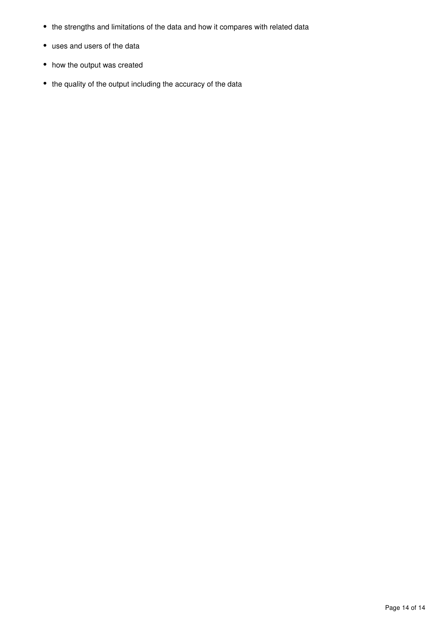- the strengths and limitations of the data and how it compares with related data
- uses and users of the data
- how the output was created
- the quality of the output including the accuracy of the data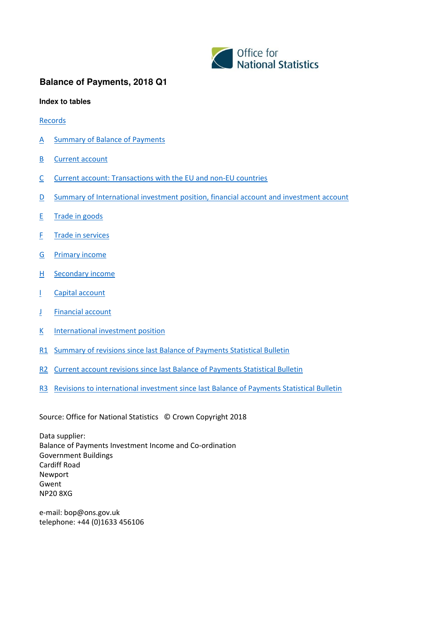

## **Balance of Payments, 2018 Q1**

## **Index to tables**

## Records

- A Summary of Balance of Payments
- B Current account
- C Current account: Transactions with the EU and non-EU countries
- D Summary of International investment position, financial account and investment account
- E Trade in goods
- F Trade in services
- G Primary income
- H Secondary income
- I Capital account
- J Financial account
- K International investment position
- R1 Summary of revisions since last Balance of Payments Statistical Bulletin
- R2 Current account revisions since last Balance of Payments Statistical Bulletin
- R3 Revisions to international investment since last Balance of Payments Statistical Bulletin

Source: Office for National Statistics © Crown Copyright 2018

Data supplier: Balance of Payments Investment Income and Co-ordination Government Buildings Cardiff Road Newport Gwent NP20 8XG

e-mail: bop@ons.gov.uk telephone: +44 (0)1633 456106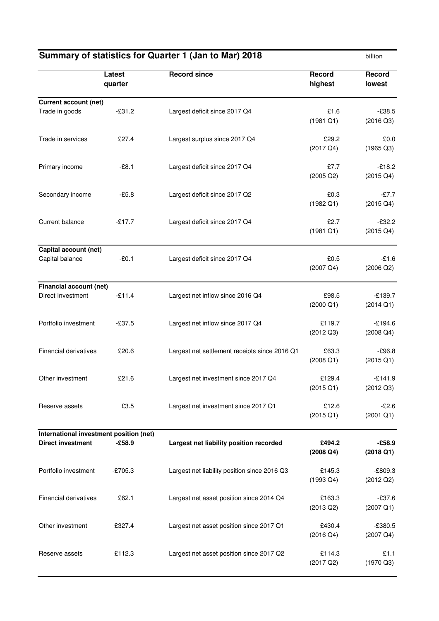|                                         |                   | Summary of statistics for Quarter 1 (Jan to Mar) 2018 |                                      | billion                          |
|-----------------------------------------|-------------------|-------------------------------------------------------|--------------------------------------|----------------------------------|
|                                         | Latest<br>quarter | <b>Record since</b>                                   | Record<br>highest                    | Record<br>lowest                 |
| <b>Current account (net)</b>            |                   |                                                       |                                      |                                  |
| Trade in goods                          | $-£31.2$          | Largest deficit since 2017 Q4                         | £1.6<br>$(1981 \ 01)$                | $-£38.5$<br>$(2016 \text{ Q}3)$  |
|                                         |                   |                                                       |                                      |                                  |
| Trade in services                       | £27.4             | Largest surplus since 2017 Q4                         | £29.2<br>$(2017 \text{ } \text{Q}4)$ | £0.0<br>$(1965 \text{ Q}3)$      |
| Primary income                          | $-£8.1$           | Largest deficit since 2017 Q4                         | £7.7                                 | $-£18.2$                         |
|                                         |                   |                                                       | $(2005 \text{ Q2})$                  | $(2015 \text{ Q}4)$              |
| Secondary income                        | $-£5.8$           | Largest deficit since 2017 Q2                         | £0.3                                 | $-£7.7$                          |
|                                         |                   |                                                       | $(1982 \text{ Q1})$                  | $(2015 \text{ Q}4)$              |
| <b>Current balance</b>                  | $-£17.7$          | Largest deficit since 2017 Q4                         | £2.7                                 | $-£32.2$                         |
|                                         |                   |                                                       | $(1981 \ 01)$                        | $(2015 \text{ Q}4)$              |
| Capital account (net)                   |                   |                                                       |                                      |                                  |
| Capital balance                         | $-£0.1$           | Largest deficit since 2017 Q4                         | £0.5<br>$(2007 \text{ Q4})$          | $-£1.6$<br>$(2006 \text{ Q2})$   |
| Financial account (net)                 |                   |                                                       |                                      |                                  |
| Direct Investment                       | $-£11.4$          | Largest net inflow since 2016 Q4                      | £98.5<br>$(2000 \text{ Q1})$         | $-£139.7$<br>$(2014 \text{ Q1})$ |
| Portfolio investment                    | $-£37.5$          | Largest net inflow since 2017 Q4                      | £119.7                               | $-£194.6$                        |
|                                         |                   |                                                       | $(2012 \text{ }Q3)$                  | $(2008 \text{ Q}4)$              |
| <b>Financial derivatives</b>            | £20.6             | Largest net settlement receipts since 2016 Q1         | £63.3                                | $-£96.8$                         |
|                                         |                   |                                                       | $(2008 \text{ Q1})$                  | $(2015 \text{ Q1})$              |
| Other investment                        | £21.6             | Largest net investment since 2017 Q4                  | £129.4                               | $-£141.9$                        |
|                                         |                   |                                                       | $(2015 \text{ Q1})$                  | $(2012 \text{ Q}3)$              |
| Reserve assets                          | £3.5              | Largest net investment since 2017 Q1                  | £12.6<br>$(2015 \text{ Q1})$         | $-E2.6$<br>$(2001 \text{ Q1})$   |
| International investment position (net) |                   |                                                       |                                      |                                  |
| <b>Direct investment</b>                | $-£58.9$          | Largest net liability position recorded               | £494.2<br>$(2008 \text{ Q}4)$        | $-£58.9$<br>$(2018 \text{ Q1})$  |
| Portfolio investment                    | $-£705.3$         | Largest net liability position since 2016 Q3          | £145.3<br>$(1993 \text{ Q}4)$        | $-£809.3$<br>$(2012 \text{ Q2})$ |
| <b>Financial derivatives</b>            | £62.1             | Largest net asset position since 2014 Q4              | £163.3                               | $-£37.6$                         |
|                                         |                   |                                                       | $(2013 \text{ Q2})$                  | $(2007 \text{ Q1})$              |
| Other investment                        | £327.4            | Largest net asset position since 2017 Q1              | £430.4<br>$(2016 \text{ Q}4)$        | $-£380.5$<br>$(2007 \text{ Q4})$ |
| Reserve assets                          | £112.3            | Largest net asset position since 2017 Q2              | £114.3<br>$(2017 \text{ Q2})$        | £1.1<br>$(1970 \text{ }Q3)$      |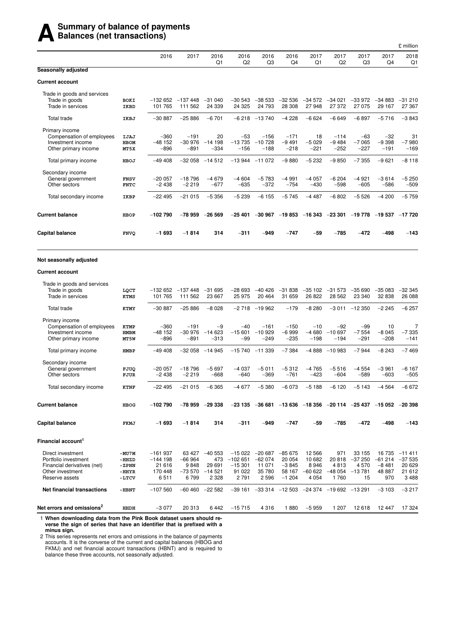# **A** Summary of balance of payments<br> **A** Balances (net transactions) **Balances (net transactions)**

|                                                                                                                |                                           |                                                   |                                                |                                                  |                                            |                                                            |                                                    |                                                   |                                                                                         |                                                       |                                                | £ million                                        |
|----------------------------------------------------------------------------------------------------------------|-------------------------------------------|---------------------------------------------------|------------------------------------------------|--------------------------------------------------|--------------------------------------------|------------------------------------------------------------|----------------------------------------------------|---------------------------------------------------|-----------------------------------------------------------------------------------------|-------------------------------------------------------|------------------------------------------------|--------------------------------------------------|
|                                                                                                                |                                           | 2016                                              | 2017                                           | 2016<br>Q1                                       | 2016<br>Q2                                 | 2016<br>Q3                                                 | 2016<br>Q4                                         | 2017<br>Q1                                        | 2017<br>Q <sub>2</sub>                                                                  | 2017<br>Q3                                            | 2017<br>Q4                                     | 2018<br>Q1                                       |
| Seasonally adjusted                                                                                            |                                           |                                                   |                                                |                                                  |                                            |                                                            |                                                    |                                                   |                                                                                         |                                                       |                                                |                                                  |
| <b>Current account</b>                                                                                         |                                           |                                                   |                                                |                                                  |                                            |                                                            |                                                    |                                                   |                                                                                         |                                                       |                                                |                                                  |
| Trade in goods and services<br>Trade in goods<br>Trade in services                                             | BOKI<br>IKBD                              | $-132652$<br>101 765                              | $-137.448$<br>111 562                          | $-31040$<br>24 339                               | $-30543$<br>24 325                         | $-38533$<br>24 793                                         | $-32536$<br>28 308                                 | $-34572$<br>27948                                 | $-34021$<br>27 372                                                                      | $-33972$<br>27 075                                    | $-34883$<br>29 167                             | $-31210$<br>27 367                               |
| Total trade                                                                                                    | IKBJ                                      | $-30887$                                          | $-2586$                                        | $-6701$                                          |                                            | $-6218$ $-13740$                                           | $-4228$                                            | $-6624$                                           | $-6649$                                                                                 | $-6897$                                               | $-5716$                                        | $-3843$                                          |
| Primary income<br>Compensation of employees<br>Investment income<br>Other primary income                       | IJAJ<br>HBOM<br>MT5X                      | $-360$<br>$-48152$<br>$-896$                      | $-191$<br>$-30976$<br>$-891$                   | 20<br>$-14198$<br>$-334$                         | $-53$<br>$-13735$<br>$-156$                | $-156$<br>$-10728$<br>$-188$                               | $-171$<br>$-9491$<br>$-218$                        | 18<br>$-5029$<br>$-221$                           | $-114$<br>$-9484$<br>$-252$                                                             | -63<br>$-7065$<br>$-227$                              | $-32$<br>$-9398$<br>$-191$                     | 31<br>$-7980$<br>$-169$                          |
| Total primary income                                                                                           | HBOJ                                      | $-49408$                                          | $-32058$                                       | $-14512$                                         |                                            | $-13944 -11072$                                            | $-9880$                                            | $-5232$                                           | $-9850$                                                                                 | $-7355$                                               | $-9621$                                        | $-8118$                                          |
| Secondary income<br>General government<br>Other sectors                                                        | <b>FNSV</b><br><b>FNTC</b>                | $-20057$<br>$-2438$                               | $-18796$<br>$-2219$                            | $-4679$<br>$-677$                                | $-4604$<br>$-635$                          | $-5783$<br>$-372$                                          | -4991<br>$-754$                                    | $-4057$<br>$-430$                                 | $-6204$<br>$-598$                                                                       | $-4921$<br>$-605$                                     | $-3614$<br>$-586$                              | $-5250$<br>$-509$                                |
| Total secondary income                                                                                         | IKBP                                      | $-22495$                                          | $-21015$                                       | $-5356$                                          | $-5239$                                    | $-6155$                                                    | $-5745$                                            | $-4487$                                           | $-6802$                                                                                 | $-5526$                                               | $-4200$                                        | $-5759$                                          |
| <b>Current balance</b>                                                                                         | HBOP                                      | $-102790$                                         | $-78959$                                       | $-26569$                                         |                                            |                                                            |                                                    |                                                   | $-25\,401$ $-30\,967$ $-19\,853$ $-16\,343$ $-23\,301$ $-19\,778$ $-19\,537$ $-17\,720$ |                                                       |                                                |                                                  |
| Capital balance                                                                                                | <b>FNVQ</b>                               | $-1693$                                           | $-1814$                                        | 314                                              | $-311$                                     | -949                                                       | $-747$                                             | -59                                               | -785                                                                                    | $-472$                                                | $-498$                                         | $-143$                                           |
| Not seasonally adjusted                                                                                        |                                           |                                                   |                                                |                                                  |                                            |                                                            |                                                    |                                                   |                                                                                         |                                                       |                                                |                                                  |
| <b>Current account</b>                                                                                         |                                           |                                                   |                                                |                                                  |                                            |                                                            |                                                    |                                                   |                                                                                         |                                                       |                                                |                                                  |
| Trade in goods and services<br>Trade in goods<br>Trade in services                                             | LQCT<br>KTMS                              | $-132652$<br>101 765                              | $-137.448$<br>111 562                          | $-31695$<br>23 667                               | $-28693$<br>25 975                         | $-40$ 426<br>20 4 64                                       | $-31838$<br>31 659                                 | $-35102$<br>26 822                                | $-31573$<br>28 5 62                                                                     | $-35690$<br>23 340                                    | $-35083$<br>32 838                             | $-32345$<br>26 088                               |
| Total trade                                                                                                    | KTMY                                      | $-30887$                                          | $-2586$                                        | $-8028$                                          |                                            | $-2718$ $-19962$                                           | $-179$                                             | $-8280$                                           | $-3011$                                                                                 | $-12350$                                              | $-2245$                                        | $-6257$                                          |
| Primary income<br>Compensation of employees<br>Investment income<br>Other primary income                       | KTMP<br><b>HMBM</b><br>MT5W               | $-360$<br>$-48152$<br>$-896$                      | $-191$<br>$-30976$<br>$-891$                   | $-9$<br>$-14623$<br>$-313$                       | $-40$<br>$-15601$<br>-99                   | $-161$<br>$-10929$<br>$-249$                               | $-150$<br>$-6999$<br>$-235$                        | $-10$<br>$-4680$<br>$-198$                        | $-92$<br>$-10697$<br>$-194$                                                             | -99<br>$-7554$<br>$-291$                              | 10<br>$-8045$<br>$-208$                        | 7<br>$-7335$<br>$-141$                           |
| Total primary income                                                                                           | <b>HMBP</b>                               | $-49408$                                          | $-32058$                                       | $-14945$                                         |                                            | $-15740 -11339$                                            | $-7384$                                            | $-4888$                                           | $-10983$                                                                                | $-7944$                                               | $-8243$                                        | $-7469$                                          |
| Secondary income<br>General government<br>Other sectors                                                        | FJUQ<br>FJUR                              | $-20057$<br>$-2438$                               | $-18796$<br>$-2219$                            | -5 697<br>$-668$                                 | $-4037$<br>$-640$                          | -5011<br>$-369$                                            | $-5312$<br>$-761$                                  | $-4765$<br>-423                                   | $-5516$<br>$-604$                                                                       | $-4554$<br>$-589$                                     | $-3961$<br>$-603$                              | $-6167$<br>$-505$                                |
| Total secondary income                                                                                         | KTNF                                      | $-22495$                                          | $-21015$                                       | $-6365$                                          | -4 677                                     | $-5380$                                                    | $-6073$                                            | $-5188$                                           | $-6120$                                                                                 | $-5143$                                               | $-4564$                                        | $-6672$                                          |
| <b>Current balance</b>                                                                                         | HBOG                                      | $-102790$                                         |                                                | $-78959 -29338$                                  |                                            |                                                            |                                                    |                                                   | $-23135$ $-36681$ $-13636$ $-18356$ $-20114$ $-25437$ $-15052$ $-20398$                 |                                                       |                                                |                                                  |
| Capital balance                                                                                                | FKMJ                                      | $-1693$                                           | $-1814$                                        | 314                                              | $-311$                                     | $-949$                                                     | $-747$                                             | $-59$                                             | $-785$                                                                                  | $-472$                                                | $-498$                                         | $-143$                                           |
| Financial account <sup>1</sup>                                                                                 |                                           |                                                   |                                                |                                                  |                                            |                                                            |                                                    |                                                   |                                                                                         |                                                       |                                                |                                                  |
| Direct investment<br>Portfolio investment<br>Financial derivatives (net)<br>Other investment<br>Reserve assets | -MU7M<br>-HHZD<br>-ZPNN<br>-HHYR<br>-LTCV | -161 937<br>-144 198<br>21 616<br>170 448<br>6511 | 63 427<br>$-66964$<br>9848<br>$-73570$<br>6799 | $-40553$<br>473<br>29 691<br>$-14521$<br>2 3 2 8 | $-102651$<br>$-15301$<br>91 022<br>2 7 9 1 | $-15022 -20687$<br>$-62074$<br>11 071<br>35 780<br>2 5 9 6 | $-85675$<br>20 054<br>$-3845$<br>58 167<br>$-1204$ | 12 5 6 6<br>10 682<br>8946<br>$-60622$<br>4 0 5 4 | 971<br>20818<br>4813<br>1760                                                            | 33 155<br>$-37250$<br>4570<br>$-48054$ $-13781$<br>15 | 16 735<br>$-61214$<br>$-8481$<br>48 887<br>970 | $-11411$<br>$-37535$<br>20 629<br>21 612<br>3488 |
| <b>Net financial transactions</b>                                                                              | -HBNT                                     | $-107560$                                         |                                                | $-60460 -22582$                                  |                                            |                                                            |                                                    |                                                   | $-39$ 161 $-33$ 314 $-12$ 503 $-24$ 374 $-19$ 692 $-13$ 291                             |                                                       | $-3103$                                        | $-3217$                                          |
| Net errors and omissions <sup>2</sup>                                                                          | HHDH                                      | $-3077$                                           | 20 313                                         | 6442                                             | $-15715$                                   | 4 3 1 6                                                    | 1880                                               | $-5959$                                           | 1 207                                                                                   | 12 618                                                | 12 447                                         | 17 324                                           |
|                                                                                                                |                                           |                                                   |                                                |                                                  |                                            |                                                            |                                                    |                                                   |                                                                                         |                                                       |                                                |                                                  |

1 **When downloading data from the Pink Book dataset users should reverse the sign of series that have an identifier that is prefixed with a minus sign.**

2 This series represents net errors and omissions in the balance of payments accounts. It is the converse of the current and capital balances (HBOG and FKMJ) and net financial account transactions (HBNT) and is required to balance these three accounts, not seasonally adjusted.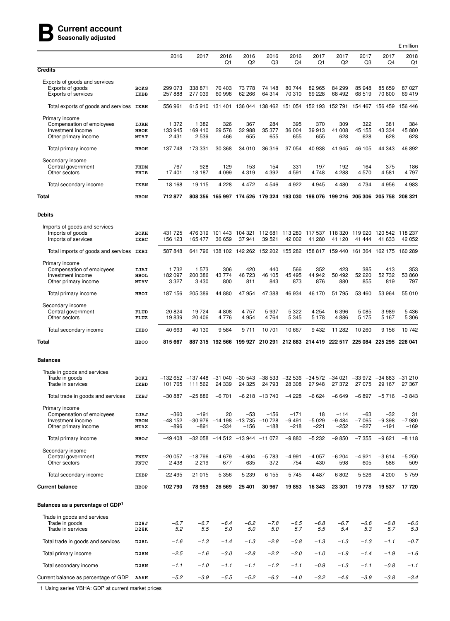#### **B Current account Seasonally adjusted**

|                                                                                          |                             |                               |                                                                                                                                                                              |                      |                                                        |                      |                             |                         |                             |                                                                         |                                                                                           | £ million               |
|------------------------------------------------------------------------------------------|-----------------------------|-------------------------------|------------------------------------------------------------------------------------------------------------------------------------------------------------------------------|----------------------|--------------------------------------------------------|----------------------|-----------------------------|-------------------------|-----------------------------|-------------------------------------------------------------------------|-------------------------------------------------------------------------------------------|-------------------------|
|                                                                                          |                             | 2016                          | 2017                                                                                                                                                                         | 2016<br>Q1           | 2016<br>Q2                                             | 2016<br>Q3           | 2016<br>Q4                  | 2017<br>Q1              | 2017<br>Q2                  | 2017<br>Q3                                                              | 2017<br>Q4                                                                                | 2018<br>Q1              |
| <b>Credits</b>                                                                           |                             |                               |                                                                                                                                                                              |                      |                                                        |                      |                             |                         |                             |                                                                         |                                                                                           |                         |
| Exports of goods and services<br>Exports of goods<br><b>Exports of services</b>          | <b>BOKG</b><br>IKBB         | 299 073<br>257888             | 338 871<br>277 039                                                                                                                                                           | 70 403<br>60 998     | 73 778<br>62 266                                       | 74 148<br>64 314     | 80 744<br>70 310            | 82 965<br>69 228        | 84 299<br>68 492            | 85 948<br>68 519                                                        | 85 659<br>70 800                                                                          | 87 027<br>69 419        |
| Total exports of goods and services IKBH                                                 |                             | 556 961                       |                                                                                                                                                                              |                      |                                                        |                      |                             |                         |                             | 615 910 131 401 136 044 138 462 151 054 152 193 152 791 154 467 156 459 |                                                                                           | 156 446                 |
| Primary income<br>Compensation of employees<br>Investment income<br>Other primary income | <b>IJAH</b><br>HBOK<br>MT5T | 1 372<br>133 945<br>2 4 3 1   | 1 3 8 2<br>169 410<br>2539                                                                                                                                                   | 326<br>29 576<br>466 | 367<br>32 988<br>655                                   | 284<br>35 377<br>655 | 395<br>36 004<br>655        | 370<br>39 913<br>655    | 309<br>41 008<br>628        | 322<br>45 155<br>628                                                    | 381<br>43 334<br>628                                                                      | 384<br>45 880<br>628    |
| Total primary income                                                                     | HBOH                        | 137 748                       | 173 331                                                                                                                                                                      | 30 368               | 34 010                                                 | 36 316               | 37 054                      | 40 938                  | 41 945                      | 46 105                                                                  | 44 343                                                                                    | 46 892                  |
| Secondary income<br>Central government<br>Other sectors                                  | FHDM<br>FHIB                | 767<br>17401                  | 928<br>18 187                                                                                                                                                                | 129<br>4 0 9 9       | 153<br>4319                                            | 154<br>4 3 9 2       | 331<br>4 5 9 1              | 197<br>4748             | 192<br>4 2 8 8              | 164<br>4570                                                             | 375<br>4581                                                                               | 186<br>4797             |
| Total secondary income                                                                   | IKBN                        | 18 168                        | 19 115                                                                                                                                                                       | 4 2 2 8              | 4472                                                   | 4546                 | 4 9 2 2                     | 4945                    | 4 4 8 0                     | 4 7 3 4                                                                 | 4956                                                                                      | 4 9 8 3                 |
| Total                                                                                    | <b>HBON</b>                 | 712877                        | 808 356                                                                                                                                                                      |                      |                                                        |                      |                             |                         |                             |                                                                         | 165 997 174 526 179 324 193 030 198 076 199 216 205 306 205 758 208 321                   |                         |
| <b>Debits</b>                                                                            |                             |                               |                                                                                                                                                                              |                      |                                                        |                      |                             |                         |                             |                                                                         |                                                                                           |                         |
| Imports of goods and services<br>Imports of goods<br>Imports of services                 | <b>BOKH</b><br>IKBC         | 431 725<br>156 123            | 476319<br>165 477                                                                                                                                                            | 101 443<br>36 659    | 104 321<br>37941                                       | 112 681<br>39 521    | 42 002                      | 41 280                  | 41 120                      | 41 444                                                                  | 113 280 117 537 118 320 119 920 120 542 118 237<br>41 633                                 | 42 052                  |
| Total imports of goods and services IKBI                                                 |                             | 587848                        | 641796                                                                                                                                                                       |                      |                                                        |                      |                             |                         |                             |                                                                         | 138 102 142 262 152 202 155 282 158 817 159 440 161 364 162 175 160 289                   |                         |
| Primary income<br>Compensation of employees<br>Investment income<br>Other primary income | IJAI<br>HBOL<br>MT5V        | 1 7 3 2<br>182 097<br>3 3 2 7 | 1573<br>200 386<br>3 4 3 0                                                                                                                                                   | 306<br>43 774<br>800 | 420<br>46 723<br>811                                   | 440<br>46 105<br>843 | 566<br>45 495<br>873        | 352<br>44 942<br>876    | 423<br>50 492<br>880        | 385<br>52 220<br>855                                                    | 413<br>52 732<br>819                                                                      | 353<br>53 860<br>797    |
| Total primary income                                                                     | HBOI                        | 187 156                       | 205 389                                                                                                                                                                      | 44 880               | 47954                                                  | 47 388               | 46 934                      | 46 170                  | 51 795                      | 53 460                                                                  | 53 964                                                                                    | 55 010                  |
| Secondary income<br>Central government<br>Other sectors                                  | FLUD<br>FLUZ                | 20 824<br>19839               | 19724<br>20 40 6                                                                                                                                                             | 4808<br>4 7 7 6      | 4757<br>4954                                           | 5937<br>4764         | 5 3 2 2<br>5 3 4 5          | 4 2 5 4<br>5 1 7 8      | 6 3 9 6<br>4886             | 5 0 8 5<br>5 1 7 5                                                      | 3 989<br>5 1 6 7                                                                          | 5436<br>5 3 0 6         |
| Total secondary income                                                                   | IKBO                        | 40 663                        | 40 130                                                                                                                                                                       | 9584                 | 9711                                                   | 10 701               | 10 667                      | 9 4 3 2                 | 11 282                      | 10 260                                                                  | 9 156                                                                                     | 10742                   |
| Total                                                                                    | <b>HBOO</b>                 | 815 667                       |                                                                                                                                                                              | 887 315 192 566      |                                                        |                      |                             |                         |                             |                                                                         | 199 927 210 291 212 883 214 419 222 517 225 084 225 295 226 041                           |                         |
| <b>Balances</b>                                                                          |                             |                               |                                                                                                                                                                              |                      |                                                        |                      |                             |                         |                             |                                                                         |                                                                                           |                         |
| Trade in goods and services<br>Trade in goods<br>Trade in services                       | <b>BOKI</b><br>TKBD         | 101 765                       | $-132$ 652 $\,$ $-137$ 448 $\,$ $-31$ 040 $\,$ $-30$ 543 $\,$ $-38$ 533 $\,$ $-32$ 536 $\,$ $-34$ 572 $\,$ $-34$ 021 $\,$ $-33$ 972 $\,$ $-34$ 883 $\,$ $-31$ 210<br>111 562 | 24 339               | 24 3 25                                                | 24 793               | 28 308                      | 27948                   | 27 372                      | 27 075                                                                  | 29 167                                                                                    | 27 367                  |
| Total trade in goods and services                                                        | IKBJ                        | $-30887$                      | $-25886$                                                                                                                                                                     | $-6701$              |                                                        | $-6218 - 13740$      | $-4228$                     | $-6624$                 | $-6649$                     | $-6897$                                                                 | $-5716$                                                                                   | $-3843$                 |
| Primary income<br>Compensation of employees<br>Investment income<br>Other primary income | IJAJ<br>HBOM<br>MT5X        | $-360$<br>$-48152$<br>$-896$  | $-191$<br>$-891$                                                                                                                                                             | 20<br>$-334$         | $-53$<br>$-30976$ $-14198$ $-13735$ $-10728$<br>$-156$ | $-156$<br>$-188$     | $-171$<br>$-9491$<br>$-218$ | 18<br>$-5029$<br>$-221$ | $-114$<br>$-9484$<br>$-252$ | $-63$<br>$-7065$<br>$-227$                                              | $-32$<br>$-9398$<br>$-191$                                                                | 31<br>$-7980$<br>$-169$ |
| Total primary income                                                                     | HBOJ                        | $-49408$                      |                                                                                                                                                                              |                      | $-32058$ $-14512$ $-13944$ $-11072$                    |                      | $-9880$                     | $-5232$                 | $-9850$                     | $-7355$                                                                 | $-9621$                                                                                   | -8 118                  |
| Secondary income<br>Central government<br>Other sectors                                  | <b>FNSV</b><br><b>FNTC</b>  | $-20057$<br>$-2438$           | $-18796$<br>$-2219$                                                                                                                                                          | $-4679$<br>$-677$    | $-4604$<br>$-635$                                      | $-5783$<br>$-372$    | $-4991$<br>$-754$           | $-4057$<br>$-430$       | $-6204$<br>$-598$           | $-4921$<br>$-605$                                                       | $-3614$<br>$-586$                                                                         | $-5250$<br>$-509$       |
| Total secondary income                                                                   | IKBP                        | $-22495$                      | $-21015$                                                                                                                                                                     | $-5356$              | $-5239$                                                | $-6155$              | $-5745$                     | $-4487$                 | $-6802$                     | $-5526$                                                                 | $-4200$                                                                                   | $-5759$                 |
| <b>Current balance</b>                                                                   | HBOP                        | $-102790$                     |                                                                                                                                                                              |                      |                                                        |                      |                             |                         |                             |                                                                         | $-78959$ $-26569$ $-25401$ $-30967$ $-19853$ $-16343$ $-23301$ $-19778$ $-19537$ $-17720$ |                         |
| Balances as a percentage of GDP <sup>1</sup>                                             |                             |                               |                                                                                                                                                                              |                      |                                                        |                      |                             |                         |                             |                                                                         |                                                                                           |                         |
| Trade in goods and services<br>Trade in goods<br>Trade in services                       | D28J<br>D28K                | $-6.7$<br>5.2                 | $-6.7$<br>5.5                                                                                                                                                                | $-6.4$<br>5.0        | $-6.2$<br>5.0                                          | $-7.8$<br>5.0        | $-6.5$<br>5.7               | $-6.8$<br>5.5           | $-6.7$<br>5.4               | $-6.6$<br>5.3                                                           | $-6.8$<br>5.7                                                                             | $-6.0$<br>5.3           |
| Total trade in goods and services                                                        | D28L                        | $-1.6$                        | $-1.3$                                                                                                                                                                       | $-1.4$               | $-1.3$                                                 | $-2.8$               | $-0.8$                      | $-1.3$                  | $-1.3$                      | $-1.3$                                                                  | $-1.1$                                                                                    | $-0.7$                  |
| Total primary income                                                                     | D28M                        | $-2.5$                        | $-1.6$                                                                                                                                                                       | $-3.0$               | $-2.8$                                                 | $-2.2$               | $-2.0$                      | $-1.0$                  | $-1.9$                      | $-1.4$                                                                  | $-1.9$                                                                                    | $-1.6$                  |
| Total secondary income                                                                   | D28N                        | $-1.1$                        | $-1.0$                                                                                                                                                                       | $-1.1$               | $-1.1$                                                 | $-1.2$               | $-1.1$                      | $-0.9$                  | $-1.3$                      | $-1.1$                                                                  | $-0.8$                                                                                    | $-1.1$                  |
| Current balance as percentage of GDP                                                     | AA6H                        | $-5.2$                        | $-3.9$                                                                                                                                                                       | $-5.5$               | $-5.2$                                                 | $-6.3$               | $-4.0$                      | $-3.2$                  | $-4.6$                      | $-3.9$                                                                  | $-3.8$                                                                                    | $-3.4$                  |

1 Using series YBHA: GDP at current market prices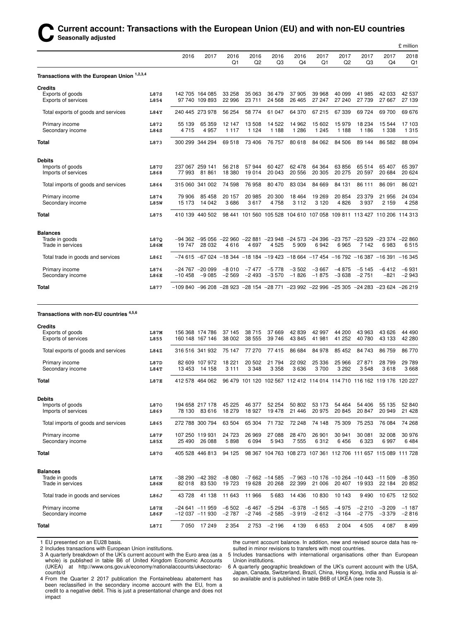|                                              |             |                                                                                 |                 |            |            |                        |                        |            |            |            |                                                                                                    | £ million  |
|----------------------------------------------|-------------|---------------------------------------------------------------------------------|-----------------|------------|------------|------------------------|------------------------|------------|------------|------------|----------------------------------------------------------------------------------------------------|------------|
|                                              |             | 2016                                                                            | 2017            | 2016<br>Q1 | 2016<br>Q2 | 2016<br>Q <sub>3</sub> | 2016<br>Q <sub>4</sub> | 2017<br>Q1 | 2017<br>Q2 | 2017<br>Q3 | 2017<br>O <sub>4</sub>                                                                             | 2018<br>Q1 |
| Transactions with the European Union 1,2,3,4 |             |                                                                                 |                 |            |            |                        |                        |            |            |            |                                                                                                    |            |
| <b>Credits</b>                               |             |                                                                                 |                 |            |            |                        |                        |            |            |            |                                                                                                    |            |
| Exports of goods                             | L87S        |                                                                                 | 142 705 164 085 | 33 258     | 35 063     | 36 479                 | 37 905                 | 39 968     | 40 099     | 41 985     | 42 033                                                                                             | 42 537     |
| Exports of services                          | L854        |                                                                                 | 97 740 109 893  | 22 996     | 23 711     | 24 5 68                | 26 4 65                | 27 247     | 27 240     | 27 739     | 27 667                                                                                             | 27 139     |
| Total exports of goods and services          | L84Y        |                                                                                 | 240 445 273 978 | 56 254     | 58 774     | 61 047                 | 64 370                 | 67 215     | 67 339     | 69 724     | 69 700                                                                                             | 69 676     |
| Primary income                               | L872        | 55 139                                                                          | 65 359          | 12 147     | 13508      | 14 522                 | 14 962                 | 15 602     | 15979      | 18 234     | 15 544                                                                                             | 17 103     |
| Secondary income                             | L84S        | 4715                                                                            | 4 9 5 7         | 1 1 1 7    | 1 1 2 4    | 1 1 8 8                | 1 2 8 6                | 1 2 4 5    | 1 1 8 8    | 1 1 8 6    | 1 3 3 8                                                                                            | 1 3 1 5    |
| <b>Total</b>                                 | L873        |                                                                                 | 300 299 344 294 | 69518      | 73 406     | 76 757                 | 80 618                 | 84 062     | 84 506     | 89 144     | 86 582                                                                                             | 88 094     |
| <b>Debits</b>                                |             |                                                                                 |                 |            |            |                        |                        |            |            |            |                                                                                                    |            |
| Imports of goods                             | L87U        |                                                                                 | 237 067 259 141 | 56 218     | 57944      | 60 427                 | 62 478                 | 64 364     | 63 856     | 65 514     | 65 407                                                                                             | 65 397     |
| Imports of services                          | L868        | 77993                                                                           | 81 861          | 18 380     | 19014      | 20 043                 | 20 556                 | 20 305     | 20 275     | 20 597     | 20 684                                                                                             | 20 624     |
| Total imports of goods and services          | L864        |                                                                                 | 315 060 341 002 | 74 598     | 76 958     | 80 470                 | 83 034                 | 84 669     | 84 131     | 86 111     | 86 091                                                                                             | 86 021     |
| Primary income                               | L874        | 79 906                                                                          | 85 458          | 20 157     | 20 985     | 20 300                 | 18 4 64                | 19 269     | 20 854     | 23 379     | 21 956                                                                                             | 24 0 34    |
| Secondary income                             | <b>L85W</b> | 15 173                                                                          | 14 042          | 3686       | 3617       | 4758                   | 3 1 1 2                | 3 1 2 0    | 4826       | 3937       | 2 1 5 9                                                                                            | 4 2 5 8    |
| <b>Total</b>                                 | L875        |                                                                                 | 410 139 440 502 |            |            |                        |                        |            |            |            | 98 441 101 560 105 528 104 610 107 058 109 811 113 427 110 206 114 313                             |            |
| <b>Balances</b>                              |             |                                                                                 |                 |            |            |                        |                        |            |            |            |                                                                                                    |            |
| Trade in goods                               | L870        |                                                                                 |                 |            |            |                        |                        |            |            |            | $-94362 -95056 -22960 -22881 -23948 -24573 -24396 -23757 -23529 -23374 -22860$                     |            |
| Trade in services                            | L86M        | 19747                                                                           | 28 0 32         | 4616       | 4697       | 4 5 2 5                | 5909                   | 6942       | 6965       | 7 1 4 2    | 6983                                                                                               | 6515       |
| Total trade in goods and services            | L86I        |                                                                                 |                 |            |            |                        |                        |            |            |            | $-74615$ $-67024$ $-18344$ $-18184$ $-19423$ $-18664$ $-17454$ $-16792$ $-16387$ $-16391$ $-16345$ |            |
| Primary income                               | L876        |                                                                                 | $-24767 -20099$ | $-8010$    | $-7477$    | $-5778$                | $-3502$                | $-3667$    | $-4875$    | $-5145$    | $-6412$                                                                                            | $-6931$    |
| Secondary income                             | L86E        | $-10458$                                                                        | $-9085$         | $-2569$    | $-2493$    | $-3570$                | $-1826$                | $-1875$    | $-3638$    | $-2751$    | $-821$                                                                                             | $-2943$    |
| <b>Total</b>                                 | L877        | $-109840 -96208 -28923 -28154 -28771 -23992 -22996 -25305 -24283 -23624 -26219$ |                 |            |            |                        |                        |            |            |            |                                                                                                    |            |
|                                              |             |                                                                                 |                 |            |            |                        |                        |            |            |            |                                                                                                    |            |

| Transactions with non-EU countries <sup>4,5,6</sup> |  |
|-----------------------------------------------------|--|
|-----------------------------------------------------|--|

| <b>Credits</b>                          |              |         |                                    |                  |                 |                  |                  |                  |                                         |                  |                                                                        |                  |
|-----------------------------------------|--------------|---------|------------------------------------|------------------|-----------------|------------------|------------------|------------------|-----------------------------------------|------------------|------------------------------------------------------------------------|------------------|
| Exports of goods<br>Exports of services | L87M<br>L855 |         | 156 368 174 786<br>160 148 167 146 | 37 145<br>38 002 | 38715<br>38 555 | 37 669<br>39 746 | 42 839<br>43 845 | 42 997<br>41 981 | 44 200<br>41 252                        | 43 963<br>40 780 | 43 626<br>43 133                                                       | 44 490<br>42 280 |
|                                         |              |         |                                    |                  |                 |                  |                  |                  |                                         |                  |                                                                        |                  |
| Total exports of goods and services     | L84Z         |         | 316 516 341 932                    | 75 147           | 77 270          | 77415            | 86 684           | 84 978           | 85 452                                  | 84 743           | 86 759                                                                 | 86 770           |
| Primary income                          | L87D         |         | 82 609 107 972                     | 18 2 21          | 20 502          | 21 794           | 22 092           | 25 3 36          | 25 966                                  | 27 871           | 28 799                                                                 | 29 789           |
| Secondary income                        | L84T         | 13 453  | 14 158                             | 3 1 1 1          | 3 3 4 8         | 3 3 5 8          | 3636             | 3700             | 3 2 9 2                                 | 3548             | 3618                                                                   | 3 6 6 8          |
| <b>Total</b>                            | L87E         |         | 412 578 464 062                    |                  |                 |                  |                  |                  |                                         |                  | 96 479 101 120 102 567 112 412 114 014 114 710 116 162 119 176 120 227 |                  |
| <b>Debits</b>                           |              |         |                                    |                  |                 |                  |                  |                  |                                         |                  |                                                                        |                  |
| Imports of goods                        | L870         |         | 194 658 217 178                    | 45 225           | 46 377          | 52 254           | 50 802           | 53 173           | 54 4 64                                 | 54 406           | 55 135                                                                 | 52 840           |
| Imports of services                     | L869         | 78 130  | 83 616                             | 18 279           | 18927           | 19 478           | 21 4 4 6         | 20 975           | 20 845                                  | 20 847           | 20 949                                                                 | 21 4 28          |
| Total imports of goods and services     | L865         |         | 272 788 300 794                    | 63 504           | 65 304          | 71 732           | 72 248           | 74 148           | 75 309                                  | 75 253           | 76 084                                                                 | 74 268           |
| Primary income                          | <b>L87F</b>  |         | 107 250 119 931                    | 24 7 23          | 26 969          | 27 088           | 28 470           | 26 901           | 30 941                                  | 30 081           | 32 008                                                                 | 30 976           |
| Secondary income                        | L85X         | 25 490  | 26 088                             | 5898             | 6094            | 5943             | 7555             | 6312             | 6456                                    | 6 3 2 3          | 6997                                                                   | 6484             |
| <b>Total</b>                            | L87G         |         | 405 528 446 813                    | 94 125           |                 |                  |                  |                  |                                         |                  | 98 367 104 763 108 273 107 361 112 706 111 657 115 089 111 728         |                  |
| <b>Balances</b>                         |              |         |                                    |                  |                 |                  |                  |                  |                                         |                  |                                                                        |                  |
| Trade in goods                          | L87K         |         | $-38290 -42392$                    | $-8080$          |                 | $-7662 -14585$   |                  |                  | $-7963 - 10176 - 10264 - 10443 - 11509$ |                  |                                                                        | $-8350$          |
| Trade in services                       | L86N         | 82018   | 83 530                             | 19723            | 19628           | 20 268           | 22 3 9 9         | 21 006           | 20 407                                  | 19 933           | 22 184                                                                 | 20 852           |
| Total trade in goods and services       | L86J         | 43 728  | 41 138                             | 11 643           | 11 966          | 5683             | 14 4 36          | 10830            | 10 143                                  | 9490             | 10 675                                                                 | 12 502           |
| Primary income                          | L87H         |         | $-24641 - 11959$                   | $-6502$          | $-6467$         | $-5294$          | $-6.378$         | $-1565$          | $-4975$                                 | $-2210$          | $-3,209$                                                               | $-1187$          |
| Secondary income                        | L86F         |         | $-12037 -11930$                    | $-2787$          | $-2746$         | $-2585$          | $-3919$          | $-2612$          | $-3164$                                 | $-2775$          | $-3379$                                                                | $-2816$          |
| <b>Total</b>                            | L87I         | 7 0 5 0 | 17 249                             | 2 3 5 4          | 2753            | $-2196$          | 4 1 3 9          | 6653             | 2 0 0 4                                 | 4505             | 4 0 8 7                                                                | 8 4 9 9          |

1 EU presented on an EU28 basis.

2 Includes transactions with European Union institutions.

3 A quarterly breakdown of the UK's current account with the Euro area (as a whole) is published in table B6 of United Kingdom Economic Accounts (UKEA) at http://www.ons.gov.uk/economy/nationalaccounts/uksectoraccounts/d

4 From the Quarter 2 2017 publication the Fontainebleau abatement has been reclassified in the secondary income account with the EU, from a credit to a negative debit. This is just a presentational change and does not impact

the current account balance. In addition, new and revised source data has resulted in minor revisions to transfers with most countries.

5 Includes transactions with international organisations other than European Union institutions.

6 A quarterly geographic breakdown of the UK's current account with the USA, Japan, Canada, Switzerland, Brazil, China, Hong Kong, India and Russia is also available and is published in table B6B of UKEA (see note 3).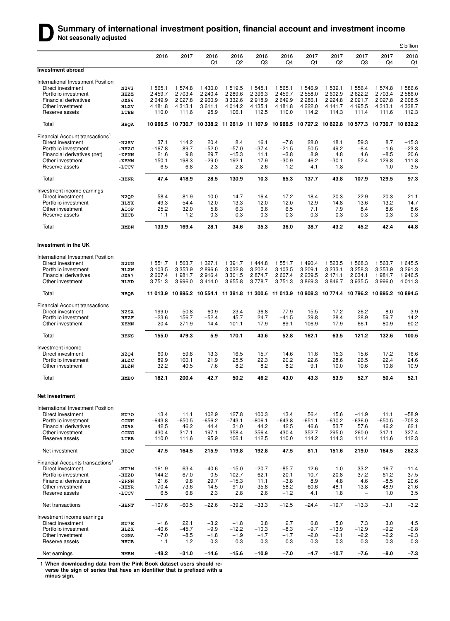#### **D** Summary of international investment position, financial account and investment income **Not seasonally adjusted**

|                                                 |                     |                  |                                                                |                   |                   |                   |                                                                |                  |                        |                                     |                            | £ billion           |
|-------------------------------------------------|---------------------|------------------|----------------------------------------------------------------|-------------------|-------------------|-------------------|----------------------------------------------------------------|------------------|------------------------|-------------------------------------|----------------------------|---------------------|
|                                                 |                     | 2016             | 2017                                                           | 2016<br>Q1        | 2016<br>Q2        | 2016<br>Q3        | 2016<br>Q4                                                     | 2017<br>Q1       | 2017<br>Q <sub>2</sub> | 2017<br>Q3                          | 2017<br>Q4                 | 2018<br>Q1          |
| <b>Investment abroad</b>                        |                     |                  |                                                                |                   |                   |                   |                                                                |                  |                        |                                     |                            |                     |
| International Investment Position               |                     |                  |                                                                |                   |                   |                   |                                                                |                  |                        |                                     |                            |                     |
| Direct investment                               | N2V3                | 1 5 6 5 .1       | 1 574.8                                                        | 1430.0            | 1519.5            | 1 545.1           | 1 5 6 5 1                                                      | 1546.9           | 1 539.1                | 1 556.4                             | 1 574.8                    | 1586.6              |
| Portfolio investment                            | HHZZ                | 2 4 5 9.7        | 2 703.4                                                        | 2 2 4 0 . 4       | 2 2 8 9.6         | 2 3 9 6.3         | 2 4 5 9.7                                                      | 2 558.0          | 2 602.9                | 2622.2                              | 2 703.4                    | 2 5 8 6.0           |
| Financial derivatives                           | JX96                | 2649.9           | 2 0 2 7 .8                                                     | 2960.9            | 3 3 3 2.6         | 2918.9            | 2649.9                                                         | 2 2 8 6.1        | 2 2 2 4.8              | 2 0 9 1 .7                          | 2 0 2 7.8                  | 2 0 0 8.5           |
| Other investment                                | HLXV                | 4 181.8          | 4 3 1 3 1                                                      | 3611.1            | 4 0 1 4 .2        | 4 1 3 5 1         | 4 181.8                                                        | 4 2 2 2.0        | 4 141.7                | 4 1 9 5 .5                          | 4 3 1 3 . 1                | 4 3 3 8.7           |
| Reserve assets                                  | LTEB                | 110.0            | 111.6                                                          | 95.9              | 106.1             | 112.5             | 110.0                                                          | 114.2            | 114.3                  | 111.4                               | 111.6                      | 112.3               |
| Total                                           | <b>HBQA</b>         | 10 966.5         | 10 730.7 10 338.2 11 261.9 11 107.9 10 966.5 10 727.2 10 622.8 |                   |                   |                   |                                                                |                  |                        |                                     | 10 577.3 10 730.7 10 632.2 |                     |
| Financial Account transactions <sup>1</sup>     |                     |                  |                                                                |                   |                   |                   |                                                                |                  |                        |                                     |                            |                     |
| Direct investment                               | $-N2SV$             | 37.1             | 114.2                                                          | 20.4              | 8.4               | 16.1              | $-7.8$                                                         | 28.0             | 18.1                   | 59.3                                | 8.7                        | $-15.3$             |
| Portfolio investment                            | $-HHZC$             | $-167.8$         | 89.7                                                           | $-52.0$           | $-57.0$           | $-37.4$           | $-21.5$                                                        | 50.5             | 49.2                   | $-8.4$                              | $-1.6$                     | $-23.3$             |
| Financial derivatives (net)                     | -ZPNN               | 21.6             | 9.8                                                            | 29.7              | $-15.3$           | 11.1              | $-3.8$                                                         | 8.9              | 4.8                    | 4.6                                 | $-8.5$                     | 20.6                |
| Other investment                                | -XBMM               | 150.1<br>6.5     | 198.3<br>6.8                                                   | $-29.0$<br>2.3    | 192.1<br>2.8      | 17.9<br>2.6       | $-30.9$<br>$-1.2$                                              | 46.2             | $-30.1$<br>1.8         | 52.4<br>$\overline{\phantom{a}}$    | 129.8                      | 111.8<br>3.5        |
| Reserve assets                                  | -LTCV               |                  |                                                                |                   |                   |                   |                                                                | 4.1              |                        |                                     | 1.0                        |                     |
| Total                                           | -HBNR               | 47.4             | 418.9                                                          | $-28.5$           | 130.9             | 10.3              | $-65.3$                                                        | 137.7            | 43.8                   | 107.9                               | 129.5                      | 97.3                |
| Investment income earnings                      |                     |                  |                                                                |                   |                   |                   |                                                                |                  |                        |                                     |                            |                     |
| Direct investment                               | N <sub>2QP</sub>    | 58.4             | 81.9                                                           | 10.0              | 14.7              | 16.4              | 17.2                                                           | 18.4             | 20.3                   | 22.9                                | 20.3                       | 21.1                |
| Portfolio investment                            | HLYX                | 49.3             | 54.4                                                           | 12.0              | 13.3              | 12.0              | 12.0                                                           | 12.9             | 14.8                   | 13.6                                | 13.2                       | 14.7                |
| Other investment<br>Reserve assets              | AIOP<br>HHCB        | 25.2<br>1.1      | 32.0<br>1.2                                                    | 5.8<br>0.3        | 6.3<br>0.3        | 6.6<br>0.3        | 6.5<br>0.3                                                     | 7.1<br>0.3       | 7.9<br>0.3             | 8.4<br>0.3                          | 8.6<br>0.3                 | 8.6<br>0.3          |
| Total                                           | <b>HMBN</b>         | 133.9            | 169.4                                                          | 28.1              | 34.6              | 35.3              | 36.0                                                           | 38.7             | 43.2                   | 45.2                                | 42.4                       | 44.8                |
|                                                 |                     |                  |                                                                |                   |                   |                   |                                                                |                  |                        |                                     |                            |                     |
| Investment in the UK                            |                     |                  |                                                                |                   |                   |                   |                                                                |                  |                        |                                     |                            |                     |
| International Investment Position               |                     |                  |                                                                |                   |                   |                   |                                                                |                  |                        |                                     |                            |                     |
| Direct investment                               | N2UG                | 1 551.7          | 1563.7                                                         | 1 3 2 7 . 1       | 1 3 9 1 . 7       | 1444.8            | 1 551.7                                                        | 1490.4           | 1523.5                 | 1568.3                              | 1563.7                     | 1 645.5             |
| Portfolio investment                            | HLXW                | 3 103.5          | 3 3 5 3 .9                                                     | 2896.6            | 3 0 3 2.8         | 3 202.4           | 3 103.5                                                        | 3 209.1          | 3 2 3 3.1              | 3 2 5 8 . 3                         | 3 3 5 3 . 9                | 3 2 9 1 .3          |
| Financial derivatives                           | JX97                | 2 607.4          | 1981.7                                                         | 2916.4            | 3 3 0 1 .5        | 2874.7            | 2 607.4                                                        | 2 2 3 9.5        | 2 171.1                | 2 0 3 4.1                           | 1981.7                     | 1946.5              |
| Other investment                                | HLYD                | 3751.3           | 3996.0                                                         | 3414.0            | 3655.8            | 3778.7            | 3751.3                                                         | 3869.3           | 3846.7                 | 3935.5                              | 3996.0                     | 4 0 1 1 .3          |
| Total                                           | HBQB                | 11 013.9         |                                                                |                   |                   |                   | 10 895.2 10 554.1 11 381.8 11 300.6 11 013.9 10 808.3 10 774.4 |                  |                        |                                     | 10 796.2 10 895.2 10 894.5 |                     |
| <b>Financial Account transactions</b>           |                     |                  |                                                                |                   |                   |                   |                                                                |                  |                        |                                     |                            |                     |
| Direct investment                               | N2SA                | 199.0            | 50.8                                                           | 60.9              | 23.4              | 36.8              | 77.9                                                           | 15.5             | 17.2                   | 26.2                                | $-8.0$                     | $-3.9$              |
| Portfolio investment                            | <b>HHZF</b>         | $-23.6$          | 156.7                                                          | $-52.4$           | 45.7              | 24.7              | $-41.5$                                                        | 39.8             | 28.4                   | 28.9                                | 59.7                       | 14.2                |
| Other investment                                | <b>XBMN</b>         | $-20.4$          | 271.9                                                          | $-14.4$           | 101.1             | $-17.9$           | $-89.1$                                                        | 106.9            | 17.9                   | 66.1                                | 80.9                       | 90.2                |
| Total                                           | <b>HBNS</b>         | 155.0            | 479.3                                                          | $-5.9$            | 170.1             | 43.6              | $-52.8$                                                        | 162.1            | 63.5                   | 121.2                               | 132.6                      | 100.5               |
| Investment income                               |                     |                  |                                                                |                   |                   |                   |                                                                |                  |                        |                                     |                            |                     |
| Direct investment                               | N2Q4                | 60.0             | 59.8                                                           | 13.3              | 16.5              | 15.7              | 14.6                                                           | 11.6             | 15.3                   | 15.6                                | 17.2                       | 16.6                |
| Portfolio investment                            | HLZC                | 89.9             | 100.1                                                          | 21.9              | 25.5              | 22.3              | 20.2                                                           | 22.6             | 28.6                   | 26.5                                | 22.4                       | 24.6                |
| Other investment                                | HLZN                | 32.2             | 40.5                                                           | 7.6               | 8.2               | 8.2               | 8.2                                                            | 9.1              | 10.0                   | 10.6                                | 10.8                       | 10.9                |
| Total                                           | <b>HMBO</b>         | 182.1            | 200.4                                                          | 42.7              | 50.2              | 46.2              | 43.0                                                           | 43.3             | 53.9                   | 52.7                                | 50.4                       | 52.1                |
| <b>Net investment</b>                           |                     |                  |                                                                |                   |                   |                   |                                                                |                  |                        |                                     |                            |                     |
|                                                 |                     |                  |                                                                |                   |                   |                   |                                                                |                  |                        |                                     |                            |                     |
| International Investment Position               |                     |                  |                                                                |                   |                   |                   |                                                                |                  |                        |                                     |                            |                     |
| Direct investment<br>Portfolio investment       | MU70<br><b>CGNH</b> | 13.4<br>$-643.8$ | 11.1<br>$-650.5$                                               | 102.9<br>$-656.2$ | 127.8<br>$-743.1$ | 100.3<br>$-806.1$ | 13.4<br>$-643.8$                                               | 56.4<br>$-651.1$ | 15.6<br>$-630.2$       | $-11.9$<br>$-636.0$                 | 11.1<br>$-650.5$           | $-58.9$<br>$-705.3$ |
| <b>Financial derivatives</b>                    | JX98                | 42.5             | 46.2                                                           | 44.4              | 31.0              | 44.2              | 42.5                                                           | 46.6             | 53.7                   | 57.6                                | 46.2                       | 62.1                |
| Other investment                                | CGNG                | 430.4            | 317.1                                                          | 197.1             | 358.4             | 356.4             | 430.4                                                          | 352.7            | 295.0                  | 260.0                               | 317.1                      | 327.4               |
| Reserve assets                                  | LTEB                | 110.0            | 111.6                                                          | 95.9              | 106.1             | 112.5             | 110.0                                                          | 114.2            | 114.3                  | 111.4                               | 111.6                      | 112.3               |
| Net investment                                  | HBQC                | $-47.5$          | $-164.5$                                                       | $-215.9$          | $-119.8$          | $-192.8$          | $-47.5$                                                        | $-81.1$          | $-151.6$               | $-219.0$                            | $-164.5$                   | -262.3              |
| Financial Accounts transactions <sup>1</sup>    |                     |                  |                                                                |                   |                   |                   |                                                                |                  |                        |                                     |                            |                     |
| Direct investment                               | $-MU7M$             | $-161.9$         | 63.4                                                           | $-40.6$           | $-15.0$           | $-20.7$           | $-85.7$                                                        | 12.6             | 1.0                    | 33.2                                | 16.7                       | $-11.4$             |
| Portfolio investment                            | -HHZD               | $-144.2$         | $-67.0$                                                        | 0.5               | $-102.7$          | $-62.1$           | 20.1                                                           | 10.7             | 20.8                   | $-37.2$                             | $-61.2$                    | $-37.5$             |
| <b>Financial derivatives</b>                    | -ZPNN               | 21.6             | 9.8                                                            | 29.7              | $-15.3$           | 11.1              | $-3.8$                                                         | 8.9              | 4.8                    | 4.6                                 | $-8.5$                     | 20.6                |
| Other investment<br>Reserve assets              | $-HHYR$<br>-LTCV    | 170.4<br>6.5     | $-73.6$<br>6.8                                                 | $-14.5$<br>2.3    | 91.0<br>2.8       | 35.8<br>2.6       | 58.2<br>$-1.2$                                                 | $-60.6$<br>4.1   | $-48.1$<br>1.8         | $-13.8$<br>$\overline{\phantom{0}}$ | 48.9<br>1.0                | 21.6<br>3.5         |
|                                                 |                     |                  |                                                                |                   |                   |                   |                                                                |                  |                        |                                     |                            |                     |
| Net transactions                                | $-HBNT$             | $-107.6$         | $-60.5$                                                        | $-22.6$           | $-39.2$           | $-33.3$           | $-12.5$                                                        | $-24.4$          | $-19.7$                | $-13.3$                             | $-3.1$                     | $-3.2$              |
| Investment income earnings<br>Direct investment | MU7E                | $-1.6$           | 22.1                                                           | $-3.2$            | $-1.8$            | 0.8               | 2.7                                                            | 6.8              | 5.0                    | 7.3                                 | 3.0                        | 4.5                 |
| Portfolio investment                            | HLZX                | $-40.6$          | $-45.7$                                                        | $-9.9$            | $-12.2$           | $-10.3$           | $-8.3$                                                         | $-9.7$           | $-13.9$                | $-12.9$                             | $-9.2$                     | $-9.8$              |
| Other investment                                | CGNA                | $-7.0$           | $-8.5$                                                         | $-1.8$            | $-1.9$            | $-1.7$            | $-1.7$                                                         | $-2.0$           | $-2.1$                 | $-2.2$                              | $-2.2$                     | $-2.3$              |
| Reserve assets                                  | HHCB                | 1.1              | 1.2                                                            | 0.3               | 0.3               | 0.3               | 0.3                                                            | 0.3              | 0.3                    | 0.3                                 | 0.3                        | 0.3                 |
| Net earnings                                    | <b>HMBM</b>         | $-48.2$          | $-31.0$                                                        | $-14.6$           | $-15.6$           | $-10.9$           | $-7.0$                                                         | $-4.7$           | $-10.7$                | $-7.6$                              | $-8.0$                     | $-7.3$              |

1 **When downloading data from the Pink Book dataset users should re-verse the sign of series that have an identifier that is prefixed with a minus sign.**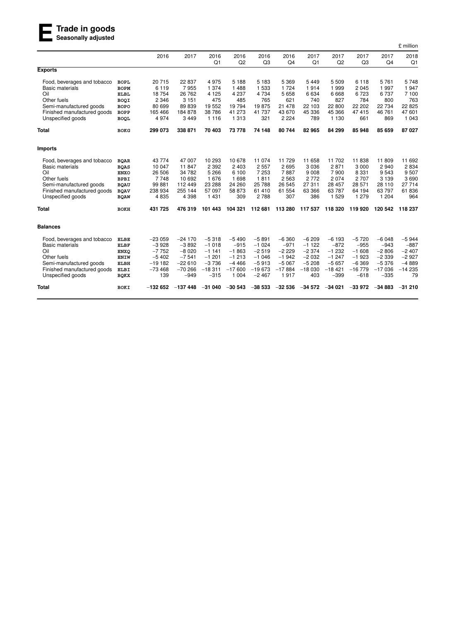# **E** Trade in goods<br>
Seasonally adjusted **Seasonally adjusted**

|                             |             |           |            |            |            |            |                        |                 |            |            |                        | £ million  |
|-----------------------------|-------------|-----------|------------|------------|------------|------------|------------------------|-----------------|------------|------------|------------------------|------------|
|                             |             | 2016      | 2017       | 2016<br>Q1 | 2016<br>Q2 | 2016<br>Q3 | 2016<br>Q <sub>4</sub> | 2017<br>Q1      | 2017<br>Q2 | 2017<br>Q3 | 2017<br>Q <sub>4</sub> | 2018<br>Q1 |
| <b>Exports</b>              |             |           |            |            |            |            |                        |                 |            |            |                        |            |
| Food, beverages and tobacco | <b>BOPL</b> | 20715     | 22 837     | 4975       | 5 1 8 8    | 5 183      | 5 3 6 9                | 5449            | 5 5 0 9    | 6 1 1 8    | 5761                   | 5748       |
| <b>Basic materials</b>      | <b>BOPM</b> | 6 1 1 9   | 7955       | 1 3 7 4    | 1488       | 1 5 3 3    | 1 7 2 4                | 1914            | 1999       | 2045       | 1997                   | 1947       |
| Oil                         | <b>ELBL</b> | 18 754    | 26 762     | 4 1 2 5    | 4 2 3 7    | 4 7 3 4    | 5 6 5 8                | 6634            | 6668       | 6723       | 6737                   | 7 100      |
| Other fuels                 | <b>BOQI</b> | 2 3 4 6   | 3 1 5 1    | 475        | 485        | 765        | 621                    | 740             | 827        | 784        | 800                    | 763        |
| Semi-manufactured goods     | <b>BOPO</b> | 80 699    | 89 839     | 19 552     | 19 794     | 19875      | 21 478                 | 22 103          | 22 800     | 22 20 2    | 22734                  | 22 8 25    |
| Finished manufactured goods | BOPP        | 165 466   | 184 878    | 38 786     | 41 273     | 41 737     | 43 670                 | 45 336          | 45 366     | 47415      | 46 761                 | 47 601     |
| Unspecified goods           | <b>BOQL</b> | 4 9 7 4   | 3 4 4 9    | 1 1 1 6    | 1 3 1 3    | 321        | 2 2 2 4                | 789             | 1 1 3 0    | 661        | 869                    | 1 0 4 3    |
| <b>Total</b>                | <b>BOKG</b> | 299 073   | 338 871    | 70 403     | 73 778     | 74 148     | 80 744                 | 82 965          | 84 299     | 85 948     | 85 659                 | 87 027     |
| <b>Imports</b>              |             |           |            |            |            |            |                        |                 |            |            |                        |            |
| Food, beverages and tobacco | <b>BQAR</b> | 43 774    | 47 007     | 10 293     | 10 678     | 11 074     | 11729                  | 11 658          | 11702      | 11838      | 11809                  | 11 692     |
| <b>Basic materials</b>      | <b>BQAS</b> | 10 047    | 11847      | 2 3 9 2    | 2 4 0 3    | 2 5 5 7    | 2695                   | 3036            | 2871       | 3 0 0 0    | 2940                   | 2834       |
| Oil                         | <b>ENXO</b> | 26 506    | 34 782     | 5 2 6 6    | 6 100      | 7 2 5 3    | 7887                   | 9008            | 7900       | 8 3 3 1    | 9543                   | 9507       |
| Other fuels                 | <b>BPBI</b> | 7748      | 10 692     | 1676       | 1698       | 1811       | 2 5 6 3                | 2772            | 2074       | 2707       | 3 1 3 9                | 3690       |
| Semi-manufactured goods     | <b>BQAU</b> | 99 881    | 112 449    | 23 288     | 24 260     | 25 788     | 26 545                 | 27 311          | 28 457     | 28 571     | 28 110                 | 27 714     |
| Finished manufactured goods | <b>BQAV</b> | 238 934   | 255 144    | 57 097     | 58 873     | 61 410     | 61 554                 | 63 366          | 63787      | 64 194     | 63797                  | 61836      |
| Unspecified goods           | <b>BQAW</b> | 4835      | 4 3 9 8    | 1 4 3 1    | 309        | 2788       | 307                    | 386             | 1529       | 1 2 7 9    | 1 2 0 4                | 964        |
| <b>Total</b>                | <b>BOKH</b> | 431 725   | 476 319    | 101 443    | 104 321    | 112 681    | 113 280                | 117 537         | 118 320    | 119 920    | 120 542                | 118 237    |
| <b>Balances</b>             |             |           |            |            |            |            |                        |                 |            |            |                        |            |
| Food, beverages and tobacco | <b>ELBE</b> | $-23059$  | $-24170$   | $-5318$    | $-5490$    | $-5891$    | $-6360$                | $-6209$         | $-6193$    | $-5720$    | $-6048$                | $-5944$    |
| <b>Basic materials</b>      | <b>ELBF</b> | $-3928$   | $-3892$    | $-1018$    | $-915$     | $-1024$    | $-971$                 | $-1122$         | $-872$     | $-955$     | $-943$                 | $-887$     |
| Oil                         | <b>ENXQ</b> | $-7752$   | $-8020$    | $-1141$    | $-1863$    | $-2519$    | $-2229$                | $-2374$         | $-1232$    | $-1608$    | $-2806$                | $-2407$    |
| Other fuels                 | <b>ENIW</b> | $-5402$   | $-7541$    | $-1201$    | $-1213$    | $-1046$    | $-1942$                | $-2032$         | $-1247$    | $-1923$    | $-2339$                | $-2927$    |
| Semi-manufactured goods     | <b>ELBH</b> | $-19182$  | $-22610$   | $-3736$    | $-4466$    | $-5913$    | $-5067$                | $-5208$         | $-5657$    | $-6369$    | $-5376$                | $-4889$    |
| Finished manufactured goods | <b>ELBI</b> | $-73468$  | $-70266$   | $-18311$   | $-17600$   | $-19673$   | $-17884$               | $-18030$        | $-18421$   | $-16779$   | $-17036$               | $-14235$   |
| Unspecified goods           | <b>BQKX</b> | 139       | $-949$     | $-315$     | 1 0 0 4    | $-2467$    | 1917                   | 403             | $-399$     | $-618$     | $-335$                 | 79         |
| <b>Total</b>                | <b>BOKI</b> | $-132652$ | $-137.448$ | $-31040$   | $-30543$   | $-38533$   | $-32536$               | $-34572 -34021$ |            | $-33972$   | $-34883$               | $-31210$   |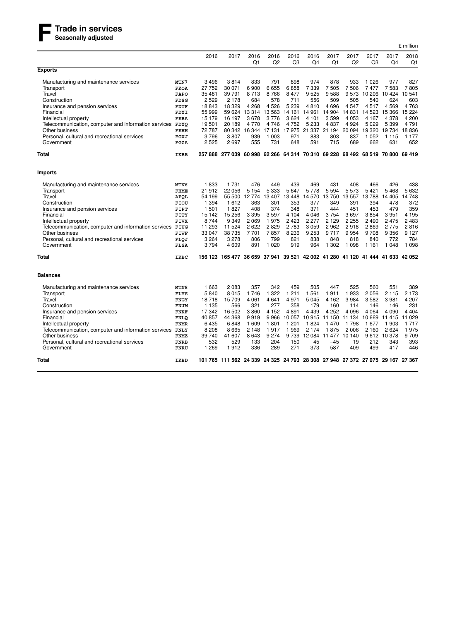## **F Trade in services**

**Seasonally adjusted**

|                                                                                                                                                                                                                                                                                                    |                                                                                                                        |                                                                                                             |                                                                                                      |                                                                                               |                                                                                                 |                                                                                                 |                                                                                                           |                                                                                                 |                                                                                               |                                                                                                    |                                                                                                         | £ million                                                                                          |
|----------------------------------------------------------------------------------------------------------------------------------------------------------------------------------------------------------------------------------------------------------------------------------------------------|------------------------------------------------------------------------------------------------------------------------|-------------------------------------------------------------------------------------------------------------|------------------------------------------------------------------------------------------------------|-----------------------------------------------------------------------------------------------|-------------------------------------------------------------------------------------------------|-------------------------------------------------------------------------------------------------|-----------------------------------------------------------------------------------------------------------|-------------------------------------------------------------------------------------------------|-----------------------------------------------------------------------------------------------|----------------------------------------------------------------------------------------------------|---------------------------------------------------------------------------------------------------------|----------------------------------------------------------------------------------------------------|
|                                                                                                                                                                                                                                                                                                    |                                                                                                                        | 2016                                                                                                        | 2017                                                                                                 | 2016<br>Q1                                                                                    | 2016<br>Q <sub>2</sub>                                                                          | 2016<br>Q <sub>3</sub>                                                                          | 2016<br>Q4                                                                                                | 2017<br>Q1                                                                                      | 2017<br>Q2                                                                                    | 2017<br>Q <sub>3</sub>                                                                             | 2017<br>Q <sub>4</sub>                                                                                  | 2018<br>Q1                                                                                         |
| <b>Exports</b>                                                                                                                                                                                                                                                                                     |                                                                                                                        |                                                                                                             |                                                                                                      |                                                                                               |                                                                                                 |                                                                                                 |                                                                                                           |                                                                                                 |                                                                                               |                                                                                                    |                                                                                                         |                                                                                                    |
| Manufacturing and maintenance services<br>Transport<br>Travel<br>Construction<br>Insurance and pension services<br>Financial<br>Intellectual property<br>Telecommunication, computer and information services FDYQ<br>Other business<br>Personal, cultural and recreational services<br>Government | MTN7<br><b>FKOA</b><br><b>FAPO</b><br>FDSG<br><b>FDTF</b><br>FDYI<br><b>FEBA</b><br><b>FEHH</b><br>FGXJ<br>FGZA        | 3 4 9 6<br>27 752<br>35 481<br>2 5 2 9<br>18 843<br>55 999<br>15 179<br>19501<br>72 787<br>3796<br>2 5 2 5  | 3814<br>30 071<br>39791<br>2 1 7 8<br>18 3 29<br>59 624<br>16 197<br>20 189<br>3807<br>2697          | 833<br>6900<br>8713<br>684<br>4 2 6 8<br>13314<br>3678<br>4770<br>80 342 16 344<br>939<br>555 | 791<br>6655<br>8766<br>578<br>4526<br>13 563<br>3776<br>4746<br>1 0 0 3<br>731                  | 898<br>6858<br>8 4 7 7<br>711<br>5 2 3 9<br>3624<br>4752<br>17 131 17 975<br>971<br>648         | 974<br>7 3 3 9<br>9525<br>556<br>4810<br>14 161 14 961 14 904<br>4 101<br>5 2 3 3<br>21 337<br>883<br>591 | 878<br>7 5 0 5<br>9588<br>509<br>4696<br>3599<br>4837<br>21 194<br>803<br>715                   | 933<br>7506<br>9573<br>505<br>4 5 4 7<br>14 831<br>4 0 5 3<br>4 9 2 4<br>20 094<br>837<br>689 | 1 0 2 6<br>7477<br>10 206<br>540<br>4517<br>14 523<br>4 167<br>5 0 2 9<br>19 320<br>1 0 5 2<br>662 | 977<br>7583<br>10 4 24<br>624<br>4569<br>15 366<br>4 3 7 8<br>5 3 9 9<br>19 734<br>1 1 1 5<br>631       | 827<br>7805<br>10 541<br>603<br>4763<br>15 2 24<br>4 200<br>4 7 9 1<br>18836<br>1 1 7 7<br>652     |
| Total                                                                                                                                                                                                                                                                                              | IKBB                                                                                                                   |                                                                                                             | 257 888 277 039 60 998 62 266 64 314 70 310 69 228 68 492 68 519 70 800 69 419                       |                                                                                               |                                                                                                 |                                                                                                 |                                                                                                           |                                                                                                 |                                                                                               |                                                                                                    |                                                                                                         |                                                                                                    |
| Imports                                                                                                                                                                                                                                                                                            |                                                                                                                        |                                                                                                             |                                                                                                      |                                                                                               |                                                                                                 |                                                                                                 |                                                                                                           |                                                                                                 |                                                                                               |                                                                                                    |                                                                                                         |                                                                                                    |
| Manufacturing and maintenance services<br>Transport<br>Travel<br>Construction<br>Insurance and pension services<br>Financial<br>Intellectual property<br>Telecommunication, computer and information services FIUG<br>Other business<br>Personal, cultural and recreational services<br>Government | MTN6<br><b>FHME</b><br><b>APQL</b><br>FIOU<br>FIPT<br>FITY<br><b>FIVX</b><br>FIWF<br>FLQJ<br>FLSA                      | 1833<br>21 912<br>54 199<br>1 3 9 4<br>1 501<br>15 142<br>8 7 4 4<br>11 293<br>33 047<br>3 2 6 4<br>3 7 9 4 | 1731<br>22 056<br>55 500<br>1612<br>1827<br>15 25 6<br>9 3 4 9<br>11 524<br>38735<br>3 2 7 8<br>4609 | 476<br>5 1 5 4<br>12774<br>363<br>408<br>3 3 9 5<br>2069<br>2622<br>7701<br>806<br>891        | 449<br>5 3 3 3<br>13 407<br>301<br>374<br>3597<br>1975<br>2829<br>7857<br>799<br>1 0 2 0        | 439<br>5 6 4 7<br>13 4 48<br>353<br>348<br>4 104<br>2 4 2 3<br>2 7 8 3<br>8 2 3 6<br>821<br>919 | 469<br>5 7 7 8<br>14 570<br>377<br>371<br>4 0 4 6<br>2 2 7 7<br>3 0 5 9<br>9 2 5 3<br>838<br>964          | 431<br>5 5 9 4<br>13750<br>349<br>444<br>3 7 5 4<br>2 1 2 9<br>2962<br>9 7 1 7<br>848<br>1 302  | 408<br>5 5 7 3<br>13 557<br>391<br>451<br>3697<br>2 2 5 5<br>2918<br>9954<br>818<br>1 0 9 8   | 466<br>5 4 21<br>13788<br>394<br>453<br>3854<br>2 4 9 0<br>2869<br>9708<br>840<br>1 1 6 1          | 426<br>5468<br>14 405<br>478<br>479<br>3 9 5 1<br>2475<br>2 7 7 5<br>9 3 5 6<br>772<br>1 0 4 8          | 438<br>5 6 3 2<br>14 748<br>372<br>359<br>4 1 9 5<br>2 4 8 3<br>2816<br>9 1 2 7<br>784<br>1 0 9 8  |
| Total                                                                                                                                                                                                                                                                                              | IKBC                                                                                                                   |                                                                                                             | 156 123 165 477 36 659 37 941 39 521 42 002 41 280 41 120 41 444 41 633                              |                                                                                               |                                                                                                 |                                                                                                 |                                                                                                           |                                                                                                 |                                                                                               |                                                                                                    |                                                                                                         | 42 052                                                                                             |
| <b>Balances</b>                                                                                                                                                                                                                                                                                    |                                                                                                                        |                                                                                                             |                                                                                                      |                                                                                               |                                                                                                 |                                                                                                 |                                                                                                           |                                                                                                 |                                                                                               |                                                                                                    |                                                                                                         |                                                                                                    |
| Manufacturing and maintenance services<br>Transport<br>Travel<br>Construction<br>Insurance and pension services<br>Financial<br>Intellectual property<br>Telecommunication, computer and information services FNLY<br>Other business<br>Personal, cultural and recreational services<br>Government | MTN8<br>FLYS<br>FNGY<br>FNJM<br><b>FNKF</b><br><b>FNLQ</b><br><b>FNMR</b><br><b>FNMZ</b><br><b>FNRB</b><br><b>FNRU</b> | 1 6 6 3<br>5840<br>$-18718$<br>1 1 3 5<br>17 342<br>40 857<br>6435<br>8 2 0 8<br>39 740<br>532<br>$-1269$   | 2083<br>8015<br>$-15709$<br>566<br>16 502<br>44 368<br>6848<br>8665<br>41 607<br>529<br>$-1912$      | 357<br>1746<br>$-4061$<br>321<br>3860<br>9919<br>1609<br>2 1 4 8<br>8643<br>133<br>$-336$     | 342<br>1 3 2 2<br>$-4641$<br>277<br>4 1 5 2<br>9966<br>1801<br>1917<br>9 2 7 4<br>204<br>$-289$ | 459<br>1 2 1 1<br>$-4971$<br>358<br>4891<br>10 057<br>1 201<br>1969<br>9739<br>150<br>$-271$    | 505<br>1 5 6 1<br>$-5045$<br>179<br>4 4 3 9<br>10915<br>1824<br>2 1 7 4<br>12 0 84<br>45<br>$-373$        | 447<br>1911<br>$-4162$<br>160<br>4 2 5 2<br>11 150<br>1470<br>1875<br>11 477<br>$-45$<br>$-587$ | 525<br>1933<br>$-3984$<br>114<br>4 0 9 6<br>11 134<br>1798<br>2006<br>10 140<br>19<br>$-409$  | 560<br>2 0 5 6<br>$-3582$<br>146<br>4 0 6 4<br>10 669<br>1677<br>2 1 6 0<br>212<br>$-499$          | 551<br>2 1 1 5<br>$-3981$<br>146<br>4 0 9 0<br>11 415<br>1 903<br>2624<br>9 612 10 378<br>343<br>$-417$ | 389<br>2 1 7 3<br>$-4207$<br>231<br>4 4 0 4<br>11 0 29<br>1 7 1 7<br>1975<br>9709<br>393<br>$-446$ |
| Total                                                                                                                                                                                                                                                                                              | IKBD                                                                                                                   |                                                                                                             | 101 765 111 562 24 339 24 325 24 793 28 308 27 948 27 372 27 075 29 167 27 367                       |                                                                                               |                                                                                                 |                                                                                                 |                                                                                                           |                                                                                                 |                                                                                               |                                                                                                    |                                                                                                         |                                                                                                    |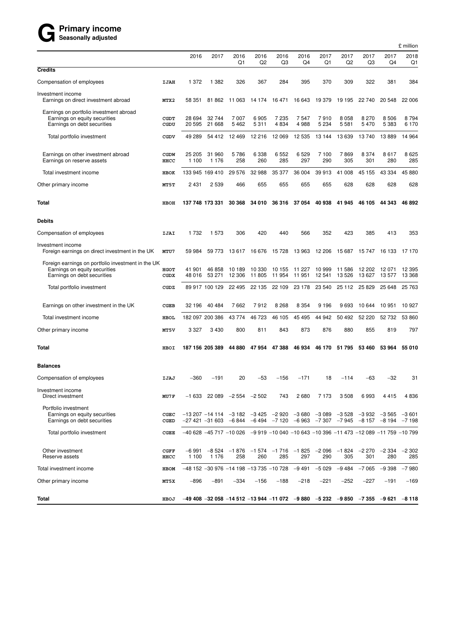# **G** Primary income<br>
Seasonally adjusted **Seasonally adjusted**

|                                                                                                                    |                     |                  |                                                                                                                                                  |                       |                        |                          |                   |                            |                   |                    |                   | £ million          |
|--------------------------------------------------------------------------------------------------------------------|---------------------|------------------|--------------------------------------------------------------------------------------------------------------------------------------------------|-----------------------|------------------------|--------------------------|-------------------|----------------------------|-------------------|--------------------|-------------------|--------------------|
|                                                                                                                    |                     | 2016             | 2017                                                                                                                                             | 2016<br>Q1            | 2016<br>Q <sub>2</sub> | 2016<br>Q <sub>3</sub>   | 2016<br>Q4        | 2017<br>Q1                 | 2017<br>Q2        | 2017<br>Q3         | 2017<br>Q4        | 2018<br>Q1         |
| <b>Credits</b>                                                                                                     |                     |                  |                                                                                                                                                  |                       |                        |                          |                   |                            |                   |                    |                   |                    |
| Compensation of employees                                                                                          | <b>IJAH</b>         | 1 3 7 2          | 1 3 8 2                                                                                                                                          | 326                   | 367                    | 284                      | 395               | 370                        | 309               | 322                | 381               | 384                |
| Investment income<br>Earnings on direct investment abroad                                                          | MTX2                | 58 351           | 81 862                                                                                                                                           | 11 063                | 14 174                 | 16 471                   | 16 643            | 19 379                     | 19 195            | 22 740             | 20 548            | 22 006             |
| Earnings on portfolio investment abroad<br>Earnings on equity securities<br>Earnings on debt securities            | <b>CGDT</b><br>CGDU | 28 694<br>20 595 | 32 744<br>21 668                                                                                                                                 | 7 007<br>5462         | 6905<br>5311           | 7 235<br>4834            | 7547<br>4988      | 7910<br>5 2 3 4            | 8058<br>5581      | 8 2 7 0<br>5 4 7 0 | 8506<br>5 3 8 3   | 8794<br>6 170      |
| Total portfolio investment                                                                                         | CGDV                | 49 289           | 54 412                                                                                                                                           | 12 4 69               | 12 216                 | 12 069                   | 12 5 35           | 13 144                     | 13639             | 13740              | 13889             | 14 9 64            |
| Earnings on other investment abroad<br>Earnings on reserve assets                                                  | CGDW<br>HHCC        | 25 205<br>1 100  | 31 960<br>1 1 7 6                                                                                                                                | 5786<br>258           | 6 3 3 8<br>260         | 6 5 5 2<br>285           | 6529<br>297       | 7 100<br>290               | 7869<br>305       | 8 3 7 4<br>301     | 8617<br>280       | 8625<br>285        |
| Total investment income                                                                                            | HBOK                | 133 945 169 410  |                                                                                                                                                  | 29 576                | 32 988                 | 35 377                   | 36 004            | 39913                      | 41 008            | 45 155             | 43 334            | 45 880             |
| Other primary income                                                                                               | MT5T                | 2431             | 2 5 3 9                                                                                                                                          | 466                   | 655                    | 655                      | 655               | 655                        | 628               | 628                | 628               | 628                |
| Total                                                                                                              | <b>HBOH</b>         |                  | 137 748 173 331                                                                                                                                  | 30 368                | 34 010                 | 36 316                   | 37 054            | 40 938                     | 41945             | 46 105             | 44 343            | 46 892             |
| <b>Debits</b>                                                                                                      |                     |                  |                                                                                                                                                  |                       |                        |                          |                   |                            |                   |                    |                   |                    |
| Compensation of employees                                                                                          | IJAI                | 1 7 3 2          | 1 573                                                                                                                                            | 306                   | 420                    | 440                      | 566               | 352                        | 423               | 385                | 413               | 353                |
| Investment income<br>Foreign earnings on direct investment in the UK                                               | MTU7                | 59 984           | 59 773                                                                                                                                           | 13 617                | 16 676                 | 15728                    | 13 963            | 12 206                     | 15 687            | 15747              | 16 133            | 17 170             |
| Foreign earnings on portfolio investment in the UK<br>Earnings on equity securities<br>Earnings on debt securities | HGOT<br>CGDX        | 41 901<br>48 016 | 46 858<br>53 271                                                                                                                                 | 10 189<br>12 306      | 10 330<br>11 805       | 10 155<br>11 954         | 11 227<br>11 951  | 10 999<br>12 541           | 11 586<br>13 5 26 | 12 202<br>13 627   | 12071<br>13 577   | 12 3 9 5<br>13 368 |
| Total portfolio investment                                                                                         | CGDZ                |                  | 89 917 100 129                                                                                                                                   | 22 4 9 5              | 22 135                 | 22 109                   | 23 178            | 23 540                     | 25 112            | 25 8 29            | 25 648            | 25 763             |
| Earnings on other investment in the UK                                                                             | CGEB                | 32 196           | 40 484                                                                                                                                           | 7662                  | 7912                   | 8 2 6 8                  | 8 3 5 4           | 9 1 9 6                    | 9693              | 10 644             | 10 951            | 10 927             |
| Total investment income                                                                                            | <b>HBOL</b>         |                  | 182 097 200 386                                                                                                                                  | 43 774                | 46 723                 | 46 105                   | 45 4 95           | 44 942                     | 50 492            | 52 220             | 52732             | 53 860             |
| Other primary income                                                                                               | MT5V                | 3 3 2 7          | 3 4 3 0                                                                                                                                          | 800                   | 811                    | 843                      | 873               | 876                        | 880               | 855                | 819               | 797                |
| Total                                                                                                              | HBOI                |                  | 187 156 205 389                                                                                                                                  | 44 880                | 47954                  | 47 388                   | 46 934            | 46 170                     | 51795             | 53 460             | 53 964            | 55 010             |
| <b>Balances</b>                                                                                                    |                     |                  |                                                                                                                                                  |                       |                        |                          |                   |                            |                   |                    |                   |                    |
| Compensation of employees                                                                                          | IJAJ                | $-360$           | $-191$                                                                                                                                           | 20                    | $-53$                  | $-156$                   | $-171$            | 18                         | $-114$            | $-63$              | $-32$             | 31                 |
| Investment income<br>Direct investment                                                                             | MU7F                | -1 633           |                                                                                                                                                  | $22089 - 2554 - 2502$ |                        | 743                      | 2680              | 7 1 7 3                    | 3508              | 6993               | 4415              | 4836               |
| Portfolio investment<br>Earnings on equity securities<br>Earnings on debt securities                               | CGEC<br>CGED        |                  | $-13207 - 14114 - 3182 - 3425$<br>$-27421 - 31603 - 6844$                                                                                        |                       |                        | $-2920$<br>-6 494 -7 120 | $-3680$<br>-6 963 | $-3089$<br>$-7307$ $-7945$ | $-3528$           | $-3932$<br>-8 157  | $-3565$<br>-8 194 | $-3601$<br>$-7198$ |
| Total portfolio investment                                                                                         | CGEE                |                  | $-40628$ $-45717$ $-10026$ $-9919$ $-10040$ $-10643$ $-10396$ $-11473$ $-12089$ $-11759$ $-10799$                                                |                       |                        |                          |                   |                            |                   |                    |                   |                    |
| Other investment<br>Reserve assets                                                                                 | CGFF<br>HHCC        | $-6991$<br>1 100 | $-8524$<br>1 1 7 6                                                                                                                               | -1876<br>258          | $-1.574$<br>260        | $-1716$<br>285           | $-1825$<br>297    | $-2096$<br>290             | -1 824<br>305     | $-2270$<br>301     | -2 334<br>280     | $-2302$<br>285     |
| Total investment income                                                                                            | <b>HBOM</b>         |                  | $-48$ 152 $-30$ 976 $-14$ 198 $-13$ 735 $-10$ 728                                                                                                |                       |                        |                          | -9 491            | $-5029$                    | $-9484$           | $-7065$            | $-9398$           | $-7980$            |
| Other primary income                                                                                               | MT5X                | $-896$           | $-891$                                                                                                                                           | $-334$                | $-156$                 | $-188$                   | $-218$            | $-221$                     | $-252$            | $-227$             | $-191$            | $-169$             |
| Total                                                                                                              | HBOJ                |                  | $-49\,408$ $-32\,058$ $-14\,512$ $-13\,944$ $-11\,072$ $\,$ $-9\,880$ $\,$ $-5\,232$ $\,$ $-9\,850$ $\,$ $-7\,355$ $\,$ $-9\,621$ $\,$ $-8\,118$ |                       |                        |                          |                   |                            |                   |                    |                   |                    |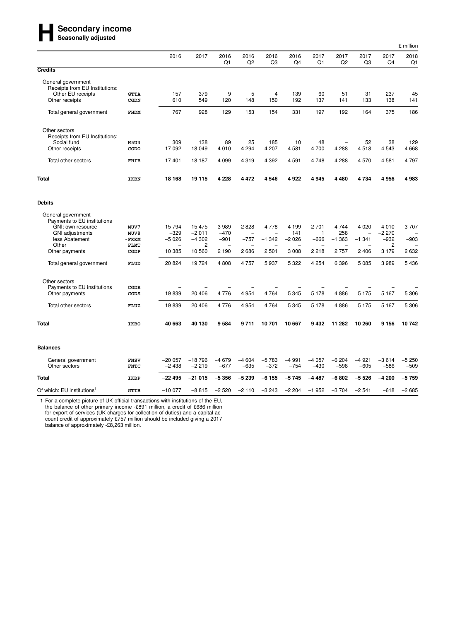# Secondary income<br>
Seasonally adjusted **Seasonally adjusted**

|                                                      |                            |                     |                     |                   |                        |                        |                   |                   |                                     |                                    |                   | £ million         |
|------------------------------------------------------|----------------------------|---------------------|---------------------|-------------------|------------------------|------------------------|-------------------|-------------------|-------------------------------------|------------------------------------|-------------------|-------------------|
|                                                      |                            | 2016                | 2017                | 2016<br>Q1        | 2016<br>Q <sub>2</sub> | 2016<br>Q <sub>3</sub> | 2016<br>Q4        | 2017<br>Q1        | 2017<br>Q <sub>2</sub>              | 2017<br>Q3                         | 2017<br>Q4        | 2018<br>Q1        |
| <b>Credits</b>                                       |                            |                     |                     |                   |                        |                        |                   |                   |                                     |                                    |                   |                   |
| General government<br>Receipts from EU Institutions: |                            |                     |                     |                   |                        |                        |                   |                   |                                     |                                    |                   |                   |
| Other EU receipts<br>Other receipts                  | <b>GTTA</b><br>CGDN        | 157<br>610          | 379<br>549          | 9<br>120          | 5<br>148               | $\overline{4}$<br>150  | 139<br>192        | 60<br>137         | 51<br>141                           | 31<br>133                          | 237<br>138        | 45<br>141         |
| Total general government                             | <b>FHDM</b>                | 767                 | 928                 | 129               | 153                    | 154                    | 331               | 197               | 192                                 | 164                                | 375               | 186               |
| Other sectors<br>Receipts from EU Institutions:      |                            |                     |                     |                   |                        |                        |                   |                   |                                     |                                    |                   |                   |
| Social fund<br>Other receipts                        | <b>H5U3</b><br>CGDO        | 309<br>17 092       | 138<br>18 049       | 89<br>4010        | 25<br>4 2 9 4          | 185<br>4 207           | 10<br>4581        | 48<br>4700        | $\overline{\phantom{0}}$<br>4 2 8 8 | 52<br>4518                         | 38<br>4543        | 129<br>4668       |
| Total other sectors                                  | <b>FHIB</b>                | 17 401              | 18 187              | 4 0 9 9           | 4 3 1 9                | 4 3 9 2                | 4591              | 4748              | 4 2 8 8                             | 4570                               | 4581              | 4797              |
| <b>Total</b>                                         | IKBN                       | 18 168              | 19 115              | 4 2 2 8           | 4 4 7 2                | 4546                   | 4922              | 4945              | 4 4 8 0                             | 4734                               | 4956              | 4983              |
| <b>Debits</b>                                        |                            |                     |                     |                   |                        |                        |                   |                   |                                     |                                    |                   |                   |
| General government<br>Payments to EU institutions    |                            |                     |                     |                   |                        |                        |                   |                   |                                     |                                    |                   |                   |
| GNI: own resource<br><b>GNI</b> adjustments          | MUV7<br>MUV8               | 15 794<br>$-329$    | 15475<br>$-2011$    | 3989<br>$-470$    | 2828                   | 4 7 7 8                | 4 1 9 9<br>141    | 2701<br>1         | 4 7 4 4<br>258                      | 4 0 20<br>$\overline{\phantom{a}}$ | 4010<br>$-2270$   | 3707              |
| less Abatement<br>Other                              | - FKKM<br><b>FLMT</b>      | $-5026$             | $-4302$<br>2        | $-901$            | $-757$                 | $-1342$                | $-2026$           | $-666$            | $-1.363$                            | $-1341$                            | $-932$<br>2       | $-903$            |
| Other payments                                       | CGDP                       | 10 385              | 10 560              | 2 190             | 2686                   | 2 5 0 1                | 3 0 0 8           | 2 2 1 8           | 2 7 5 7                             | 2 4 0 6                            | 3 1 7 9           | 2632              |
| Total general government                             | FLUD                       | 20 824              | 19724               | 4808              | 4757                   | 5937                   | 5 3 2 2           | 4 2 5 4           | 6 3 9 6                             | 5 0 8 5                            | 3989              | 5 4 3 6           |
| Other sectors                                        |                            |                     |                     |                   |                        |                        |                   |                   |                                     |                                    |                   |                   |
| Payments to EU institutions<br>Other payments        | <b>CGDR</b><br>CGDS        | 19839               | 20 40 6             | 4776              | 4 9 5 4                | 4 7 6 4                | 5 3 4 5           | 5 1 7 8           | 4886                                | 5 1 7 5                            | 5 1 6 7           | 5 3 0 6           |
| Total other sectors                                  | <b>FLUZ</b>                | 19839               | 20 40 6             | 4776              | 4 9 5 4                | 4 7 6 4                | 5 3 4 5           | 5 1 7 8           | 4886                                | 5 1 7 5                            | 5 1 6 7           | 5 3 0 6           |
| Total                                                | IKBO                       | 40 663              | 40 130              | 9584              | 9711                   | 10701                  | 10 667            | 9432              | 11 282                              | 10 260                             | 9 1 5 6           | 10742             |
| <b>Balances</b>                                      |                            |                     |                     |                   |                        |                        |                   |                   |                                     |                                    |                   |                   |
| General government<br>Other sectors                  | <b>FNSV</b><br><b>FNTC</b> | $-20057$<br>$-2438$ | $-18796$<br>$-2219$ | $-4679$<br>$-677$ | $-4604$<br>$-635$      | $-5783$<br>$-372$      | $-4991$<br>$-754$ | $-4057$<br>$-430$ | $-6204$<br>$-598$                   | $-4921$<br>$-605$                  | $-3614$<br>$-586$ | $-5250$<br>$-509$ |
| <b>Total</b>                                         | IKBP                       | $-22495$            | $-21015$            | $-5356$           | $-5239$                | $-6155$                | $-5745$           | $-4487$           | $-6802$                             | $-5526$                            | $-4200$           | $-5759$           |
| Of which: EU institutions <sup>1</sup>               | <b>GTTB</b>                | $-10077$            | $-8815$             | $-2520$           | $-2110$                | $-3243$                | $-2204$           | $-1952$           | $-3704$                             | $-2541$                            | $-618$            | $-2685$           |

1 For a complete picture of UK official transactions with institutions of the EU, the balance of other primary income -£891 million, a credit of £686 million for export of services (UK charges for collection of duties) and a capital account credit of approximately £757 million should be included giving a 2017 balance of approximately -£8,263 million.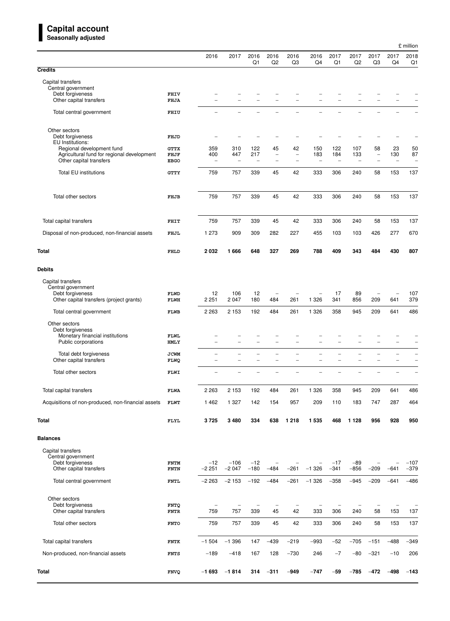# **Capital account**

|                                                                                    |                            |                          |                                 |                 |                                               |                                                      |                                 |                                 |                                 |                                               |                                 | £ million        |
|------------------------------------------------------------------------------------|----------------------------|--------------------------|---------------------------------|-----------------|-----------------------------------------------|------------------------------------------------------|---------------------------------|---------------------------------|---------------------------------|-----------------------------------------------|---------------------------------|------------------|
|                                                                                    |                            | 2016                     | 2017                            | 2016<br>Q1      | 2016<br>Q <sub>2</sub>                        | 2016<br>Q3                                           | 2016<br>Q4                      | 2017<br>Q1                      | 2017<br>Q2                      | 2017<br>Q3                                    | 2017<br>Q4                      | 2018<br>Q1       |
| <b>Credits</b>                                                                     |                            |                          |                                 |                 |                                               |                                                      |                                 |                                 |                                 |                                               |                                 |                  |
| Capital transfers<br>Central government                                            |                            |                          |                                 |                 |                                               |                                                      |                                 |                                 |                                 |                                               |                                 |                  |
| Debt forgiveness                                                                   | <b>FHIV</b>                |                          |                                 |                 |                                               |                                                      |                                 |                                 |                                 |                                               |                                 |                  |
| Other capital transfers                                                            | <b>FHJA</b>                |                          |                                 |                 |                                               |                                                      |                                 |                                 |                                 |                                               |                                 |                  |
| Total central government                                                           | FHIU                       |                          |                                 |                 |                                               |                                                      |                                 |                                 |                                 |                                               |                                 |                  |
| Other sectors<br>Debt forgiveness                                                  | FHJD                       |                          |                                 |                 |                                               |                                                      |                                 |                                 |                                 |                                               |                                 |                  |
| EU Institutions:<br>Regional development fund                                      | <b>GTTX</b>                | 359                      | 310                             | 122             | 45                                            | 42                                                   | 150                             | 122                             | 107                             | 58                                            | 23                              | 50               |
| Agricultural fund for regional development<br>Other capital transfers              | FHJF<br><b>EBGO</b>        | 400<br>$\overline{a}$    | 447<br>$\overline{\phantom{0}}$ | 217             | $\qquad \qquad -$<br>$\overline{\phantom{a}}$ | $\overline{\phantom{a}}$<br>$\overline{\phantom{a}}$ | 183<br>$\overline{\phantom{a}}$ | 184<br>$\overline{\phantom{a}}$ | 133<br>$\overline{\phantom{a}}$ | $\qquad \qquad -$<br>$\overline{\phantom{a}}$ | 130<br>$\overline{\phantom{a}}$ | 87<br>۰          |
| <b>Total EU institutions</b>                                                       | GTTY                       | 759                      | 757                             | 339             | 45                                            | 42                                                   | 333                             | 306                             | 240                             | 58                                            | 153                             | 137              |
|                                                                                    |                            |                          |                                 |                 |                                               |                                                      |                                 |                                 |                                 |                                               |                                 |                  |
| Total other sectors                                                                | FHJB                       | 759                      | 757                             | 339             | 45                                            | 42                                                   | 333                             | 306                             | 240                             | 58                                            | 153                             | 137              |
| Total capital transfers                                                            | FHIT                       | 759                      | 757                             | 339             | 45                                            | 42                                                   | 333                             | 306                             | 240                             | 58                                            | 153                             | 137              |
| Disposal of non-produced, non-financial assets                                     | FHJL                       | 1 273                    | 909                             | 309             | 282                                           | 227                                                  | 455                             | 103                             | 103                             | 426                                           | 277                             | 670              |
| Total                                                                              | FHLD                       | 2032                     | 1666                            | 648             | 327                                           | 269                                                  | 788                             | 409                             | 343                             | 484                                           | 430                             | 807              |
| <b>Debits</b>                                                                      |                            |                          |                                 |                 |                                               |                                                      |                                 |                                 |                                 |                                               |                                 |                  |
| Capital transfers                                                                  |                            |                          |                                 |                 |                                               |                                                      |                                 |                                 |                                 |                                               |                                 |                  |
| Central government<br>Debt forgiveness<br>Other capital transfers (project grants) | FLWD<br>FLWH               | 12<br>2 2 5 1            | 106<br>2 0 4 7                  | 12<br>180       | $\overline{\phantom{a}}$<br>484               | 261                                                  | 1 3 2 6                         | 17<br>341                       | 89<br>856                       | $\overline{\phantom{a}}$<br>209               | $\overline{\phantom{0}}$<br>641 | 107<br>379       |
| Total central government                                                           | <b>FLWB</b>                | 2 2 6 3                  | 2 1 5 3                         | 192             | 484                                           | 261                                                  | 1 3 2 6                         | 358                             | 945                             | 209                                           | 641                             | 486              |
| Other sectors                                                                      |                            |                          |                                 |                 |                                               |                                                      |                                 |                                 |                                 |                                               |                                 |                  |
| Debt forgiveness<br>Monetary financial institutions<br>Public corporations         | <b>FLWL</b><br><b>HMLY</b> | $\overline{\phantom{0}}$ | $\overline{\phantom{0}}$        |                 |                                               |                                                      |                                 |                                 |                                 |                                               |                                 |                  |
| Total debt forgiveness<br>Other capital transfers                                  | <b>JCWM</b><br><b>FLWQ</b> | -                        | $\overline{\phantom{0}}$        |                 |                                               |                                                      |                                 | $\overline{\phantom{0}}$        | -                               |                                               |                                 |                  |
| Total other sectors                                                                | FLWI                       |                          |                                 |                 |                                               |                                                      |                                 |                                 |                                 |                                               |                                 |                  |
| Total capital transfers                                                            | FLWA                       | 2 2 6 3                  | 2 1 5 3                         | 192             | 484                                           | 261                                                  | 1 3 2 6                         | 358                             | 945                             | 209                                           | 641                             | 486              |
| Acquisitions of non-produced, non-financial assets                                 | FLWT                       | 1 4 6 2                  | 1 3 2 7                         | 142             | 154                                           | 957                                                  | 209                             | 110                             | 183                             | 747                                           | 287                             | 464              |
| Total                                                                              | FLYL                       | 3725                     | 3 4 8 0                         | 334             | 638                                           | 1 2 1 8                                              | 1535                            | 468                             | 1 1 2 8                         | 956                                           | 928                             | 950              |
| <b>Balances</b>                                                                    |                            |                          |                                 |                 |                                               |                                                      |                                 |                                 |                                 |                                               |                                 |                  |
| Capital transfers                                                                  |                            |                          |                                 |                 |                                               |                                                      |                                 |                                 |                                 |                                               |                                 |                  |
| Central government<br>Debt forgiveness<br>Other capital transfers                  | <b>FNTM</b><br><b>FNTN</b> | $-12$<br>$-2251$         | $-106$<br>$-2047$               | $-12$<br>$-180$ | $\overline{\phantom{m}}$<br>$-484$            | $-261$                                               | $\overline{a}$<br>$-1326$       | $-17$<br>$-341$                 | $-89$<br>$-856$                 | $-209$                                        | $-641$                          | $-107$<br>$-379$ |
| Total central government                                                           | <b>FNTL</b>                | $-2263$                  | $-2153$                         | $-192$          | $-484$                                        | $-261$                                               | $-1326$                         | $-358$                          | $-945$                          | $-209$                                        | $-641$                          | $-486$           |
| Other sectors                                                                      |                            |                          |                                 |                 |                                               |                                                      |                                 |                                 |                                 |                                               |                                 |                  |
| Debt forgiveness<br>Other capital transfers                                        | <b>FNTQ</b><br><b>FNTR</b> | ۰<br>759                 | ۰<br>757                        | 339             | $\overline{\phantom{a}}$<br>45                | $\overline{\phantom{0}}$<br>42                       | 333                             | 306                             | 240                             | 58                                            | $\overline{\phantom{0}}$<br>153 | 137              |
| Total other sectors                                                                | <b>FNTO</b>                | 759                      | 757                             | 339             | 45                                            | 42                                                   | 333                             | 306                             | 240                             | 58                                            | 153                             | 137              |
| Total capital transfers                                                            | <b>FNTK</b>                | $-1504$                  | $-1.396$                        | 147             | $-439$                                        | $-219$                                               | $-993$                          | $-52$                           | $-705$                          | $-151$                                        | $-488$                          | $-349$           |
| Non-produced, non-financial assets                                                 | <b>FNTS</b>                | $-189$                   | $-418$                          | 167             | 128                                           | $-730$                                               | 246                             | $-7$                            | $-80$                           | $-321$                                        | $-10$                           | 206              |
| Total                                                                              | <b>FNVQ</b>                | $-1693$                  | $-1814$                         | 314             | $-311$                                        | $-949$                                               | $-747$                          | $-59$                           | $-785$                          | $-472$                                        | $-498$                          | $-143$           |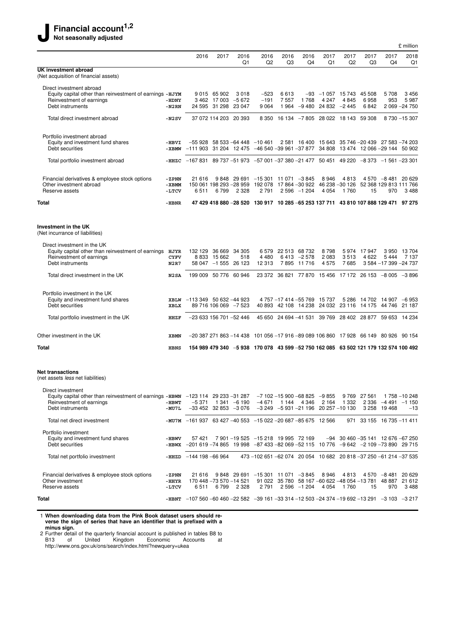£ million 2016 2017 2016 2016 2016 2016 2017 2017 2017 2017 2018 Q1 Q2 Q3 Q4 Q1 Q2 Q3 Q4 Q1 **UK investment abroad** (Net acquisition of financial assets) Direct investment abroad Equity capital other than reinvestment of earnings **-HJYM** 9 015 65 902 3 018 -523 6 613 -93 -1 057 15 743 45 508 5 708 3 456<br>Reinvestment of earnings 953 5 987 3 462 17 003 -5 672 -191 7 557 1 768 4 247 4 845 6 958 953 5 Reinvestment of earnings **- FIDNY** 3 462 17 003 −5 672 −191 7 557 1 768 4 247 4 845 6 958 953 5 987<br>Debt instruments - The State of Text 24 595 31 298 23 047 9 064 1 964 −9 480 24 832 −2 445 6 842 2 069 −24 750 Pet<sub>1</sub> 595 31 298 23 047 Total direct investment abroad **-N2SV** 37 072 114 203 20 393 8 350 16 134 −7 805 28 022 18 143 59 308 8 730 −15 307 Portfolio investment abroad Equity and investment fund shares **-HBVI** −55 928 58 533 −64 448 −10 461 2 581 16 400 15 643 35 746 −20 439 27 583 −74 203<br>Debt securities - 29 144 50 902 - XBMW −111 903 31 204 12 475 −46 540 −39 961 −37 877 34 808 13 47 Debt securities **-XBMW** −111 903 31 204 12 475 −46 540 −39 961 −37 877 34 808 13 474 12 066 −29 144 50 902 Total portfolio investment abroad **-HHZC** −167 831 89 737 −51 973 −57 001 −37 380 −21 477 50 451 49 220 −8 373 −1 561 −23 301 Financial derivatives & employee stock options -zPNN 21 616 9 848 29 691 -15 301 11 071 -3 845 8 946 4 813 4 570 -8 481 20 629<br>Other investment abroad -**XBMM 150 061 198 293 -28 959 192 078 17 864 -30 922 46 238 -30 126 5** Other investment abroad<br>
-XBMM 150 061 198 293 −28 959 192 078 17 864 −30 922 46 238 −30 126 52 368 129 813 111 766<br>
-XBMM 150 061 198 293 −28 959 192 078 17 864 −30 922 46 238 −30 126 52 368 129 813 111 766<br>
-XBMM 150 06 Reser ve assets **-LTCV** 6 511 6 799 2 328 2 791 2 596 −1 204 4 054 1 760 15 970 3 488 **Total -HBNR 47 429 418 880** −**28 520 130 917 10 285** −**65 253 137 711 43 810 107 888 129 471 97 275 Investment in the UK** (Net incurrance of liabilities) Direct investment in the UK Equity capital other than reinvestment of earnings **HJYR** 132 129 36 669 34 305 6 579 22 513 68 732 8 798 5 974 17 947 3 950 13 704 Reinvestment of earnings<br> **CYFV** 8 833 15 662 518 4 480 6 413 −2 578 2 083 3 513 4 622 5 444 7 137<br>
Debt instruments 3 584 −17 399 −24 737 Debt instruments **N2R7** 58 047 −1 555 26 123 12 313 7 895 11 716 4 575 7 685 3 584 −17 399 −24 737 Total direct investment in the UK **N2SA** 199 009 50 776 60 946 23 372 36 821 77 870 15 456 17 172 26 153 −8 005 −3 896 Portfolio investment in the UK Equity and investment fund shares **XBLW** −113 349 50 632 −44 923 4 757 −17 414 −55 769 15 737 5 286 14 702 14 907 −6 953 Debt securities **XBLX** 89 716 106 069 −7 523 40 893 42 108 14 238 24 032 23 116 14 175 44 746 21 187 Total portfolio investment in the UK **HHZF** −23 633 156 701 −52 446 45 650 24 694 −41 531 39 769 28 402 28 877 59 653 14 234 Other investment in the UK **XBMN** −20 387 271 863 −14 438 101 056 −17 916 −89 089 106 860 17 928 66 149 80 926 90 154 **Total HBNS 154 989 479 340** −**5 938 170 078 43 599** −**52 750 162 085 63 502 121 179 132 574 100 492**

#### **Net transactions**

(net assets less net liabilities)

| Direct investment<br>Equity capital other than reinvestment of earnings - HBWN<br>Reinvestment of earnings<br>Debt instruments | $-HBWT$<br>$-MU7L$        | $-123$ 114<br>$-5.371$<br>$-33,452,32,853$                                | 1 341          | 29 233 -31 287<br>$-6190$<br>$-3076$ | $-4671$<br>$-3249$                     | 1 144                    | 4 3 4 6<br>$-5931 - 21196$ | $-7102 - 15900 - 68825 - 9855$<br>2 1 6 4         | 9 7 6 9<br>332<br>$20257 - 10130$ | 27 561<br>2 3 3 6<br>3 2 5 8                                                               | $-4491$<br>19468          | 1 758 –10 248<br>$-1,150$<br>$-13$ |
|--------------------------------------------------------------------------------------------------------------------------------|---------------------------|---------------------------------------------------------------------------|----------------|--------------------------------------|----------------------------------------|--------------------------|----------------------------|---------------------------------------------------|-----------------------------------|--------------------------------------------------------------------------------------------|---------------------------|------------------------------------|
| Total net direct investment                                                                                                    | -MU7M                     | -161 937                                                                  |                |                                      | 63 427 -40 553 -15 022 -20 687 -85 675 |                          |                            | 12 566                                            | 971                               | 33 155                                                                                     | 16 735 -11 411            |                                    |
| Portfolio investment<br>Equity and investment fund shares<br>Debt securities                                                   | $-HBWV$<br>- HBWX         | 57421<br>$-201619 - 748651998 - 87433 - 82069 - 52115$                    |                |                                      | 7 901 -19 525 -15 218 19 995 72 169    |                          |                            |                                                   |                                   | $-94$ 30 460 $-35$ 141 12 676 $-67$ 250<br>$10\,776$ $-9\,642$ $-2\,109\, -73\,890$ 29 715 |                           |                                    |
| Total net portfolio investment                                                                                                 | -HHZD                     | $-144$ 198 $-66$ 964                                                      |                |                                      | 473 -102 651 -62 074 20 054            |                          |                            |                                                   |                                   | 10 682 20 818 -37 250 -61 214 -37 535                                                      |                           |                                    |
| Financial derivatives & employee stock options<br>Other investment<br>Reserve assets                                           | -ZPNN<br>$-HHYR$<br>-LTCV | 21 616<br>170 448 -73 570 -14 521<br>6511                                 | 9 848<br>6 799 | 29 691<br>2 3 2 8                    | $-15.301$<br>91 022<br>2 7 9 1         | 11 071<br>35 780<br>2596 | $-3845$<br>$-1204$         | 8946<br>58 167 -60 622 -48 054 -13 781<br>4 0 5 4 | 4813<br>760                       | 4 5 7 0<br>15                                                                              | $-8,481$<br>48 887<br>970 | 20 629<br>21 612<br>3488           |
| Total                                                                                                                          | -HBNT                     | $-107560 - 60460 - 22582 - 39161 - 33314 - 12503 - 24374 - 19692 - 13291$ |                |                                      |                                        |                          |                            |                                                   |                                   |                                                                                            | $-3,103$ $-3,217$         |                                    |
|                                                                                                                                |                           |                                                                           |                |                                      |                                        |                          |                            |                                                   |                                   |                                                                                            |                           |                                    |

1 **When downloading data from the Pink Book dataset users should reverse the sign of series that have an identifier that is prefixed with a minus sign.**

2 Further detail of the quarterly financial account is published in tables B8 to<br>B13 of United Kingdom Economic Accounts at Kingdom http://www.ons.gov.uk/ons/search/index.html?newquery=ukea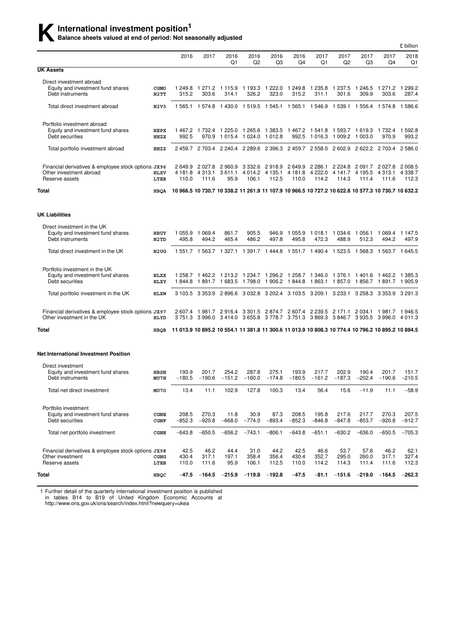# **K** International investment position<sup>1</sup><br>Balance sheets valued at end of period: Not se

**Balance sheets valued at end of period: Not seasonally adjusted**

|                                                                                                  |                     |                                                                                                    |                                    |                          |                                                                         |                             |                             |                        |                                                                   |                             |                                                                                         | £ billion              |
|--------------------------------------------------------------------------------------------------|---------------------|----------------------------------------------------------------------------------------------------|------------------------------------|--------------------------|-------------------------------------------------------------------------|-----------------------------|-----------------------------|------------------------|-------------------------------------------------------------------|-----------------------------|-----------------------------------------------------------------------------------------|------------------------|
|                                                                                                  |                     | 2016                                                                                               | 2017                               | 2016<br>Q1               | 2016<br>Q2                                                              | 2016<br>Q3                  | 2016<br>Q4                  | 2017<br>Q1             | 2017<br>Q2                                                        | 2017<br>Q3                  | 2017<br>Q4                                                                              | 2018<br>Q1             |
| <b>UK Assets</b>                                                                                 |                     |                                                                                                    |                                    |                          |                                                                         |                             |                             |                        |                                                                   |                             |                                                                                         |                        |
| Direct investment abroad<br>Equity and investment fund shares<br>Debt instruments                | CGMO<br>N2TT        | 1 249.8<br>315.2                                                                                   | 1 271.2 1 115.9<br>303.6           | 314.1                    | 1 193.3<br>326.2                                                        | 1 2 2 2 . 0<br>323.0        | 1 249.8<br>315.2            | 1 235.8<br>311.1       | 1 2 3 7 . 5<br>301.6                                              | 1 246.5<br>309.9            | 1 271.2 1 299.2<br>303.6                                                                | 287.4                  |
| Total direct investment abroad                                                                   | N2V3                |                                                                                                    |                                    |                          |                                                                         |                             |                             |                        |                                                                   |                             | 1 565.1 1 574.8 1 430.0 1 519.5 1 545.1 1 565.1 1 546.9 1 539.1 1 556.4 1 574.8 1 586.6 |                        |
| Portfolio investment abroad<br>Equity and investment fund shares<br>Debt securities              | HEPX<br>HHZX        | 1467.2<br>992.5                                                                                    | 970.9                              | 1 015.4                  | 1732.4 1225.0 1265.6 1383.5<br>1024.0                                   | 1 0 1 2 .8                  | 1467.2<br>992.5             | 1 541.8<br>1 0 1 6 .3  | 1 009.2                                                           | 1 003.0                     | 1 593.7 1 619.3 1 732.4 1 592.8<br>970.9                                                | 993.2                  |
| Total portfolio investment abroad                                                                | HHZZ                |                                                                                                    |                                    |                          |                                                                         |                             |                             |                        |                                                                   |                             | 2 459.7 2 703.4 2 240.4 2 289.6 2 396.3 2 459.7 2 558.0 2 602.9 2 622.2 2 703.4 2 586.0 |                        |
| Financial derivatives & employee stock options JX96<br>Other investment abroad<br>Reserve assets | HLXV<br>LTEB        | 2 649.9<br>4 181.8<br>110.0                                                                        | 2 0 2 7 .8<br>4 3 1 3 . 1<br>111.6 | 2960.9<br>3611.1<br>95.9 | 3 3 3 2 . 6<br>4 0 1 4 .2<br>106.1                                      | 2 918.9<br>4 135.1<br>112.5 | 2 649.9<br>4 181.8<br>110.0 | 4 222.0<br>114.2       | 2 2 8 6.1 2 2 2 4.8<br>4 141.7<br>114.3                           | 2 091.7<br>4 195.5<br>111.4 | 2 027.8 2 008.5<br>4 3 1 3 . 1<br>111.6                                                 | 4 3 3 8.7<br>112.3     |
| Total                                                                                            | <b>HBQA</b>         | 10 966.5 10 730.7 10 338.2 11 261.9 11 107.9 10 966.5 10 727.2 10 622.8 10 577.3 10 730.7 10 632.2 |                                    |                          |                                                                         |                             |                             |                        |                                                                   |                             |                                                                                         |                        |
| <b>UK Liabilities</b>                                                                            |                     |                                                                                                    |                                    |                          |                                                                         |                             |                             |                        |                                                                   |                             |                                                                                         |                        |
| Direct investment in the UK<br>Equity and investment fund shares<br>Debt instruments             | HBUY<br>N2TD        | 1 055.9<br>495.8                                                                                   | 1 069.4<br>494.2                   | 861.7<br>465.4           | 905.5<br>486.2                                                          | 946.9<br>497.8              | 1 0 5 5.9<br>495.8          | 1 018.1<br>472.3       | 1 0 3 4 .6<br>488.9                                               | 1 056.1<br>512.3            | 1 069.4 1 147.5<br>494.2                                                                | 497.9                  |
| Total direct investment in the UK                                                                | N <sub>2</sub> UG   |                                                                                                    |                                    |                          |                                                                         |                             |                             |                        |                                                                   |                             | 1 551.7 1 563.7 1 327.1 1 391.7 1 444.8 1 551.7 1 490.4 1 523.5 1 568.3 1 563.7 1 645.5 |                        |
| Portfolio investment in the UK<br>Equity and investment fund shares<br>Debt securities           | HLXX<br>HLXY        | 1844.8                                                                                             | 1891.7 1683.5 1798.0               |                          | 1 258.7 1 462.2 1 213.2 1 234.7 1 296.2 1 258.7 1 346.0 1 376.1 1 401.6 |                             | 1906.2 1844.8               |                        |                                                                   |                             | 1462.2 1385.3<br>1863.1 1857.0 1856.7 1891.7 1905.9                                     |                        |
| Total portfolio investment in the UK                                                             | HLXW                | 3 103.5                                                                                            |                                    |                          |                                                                         |                             |                             |                        |                                                                   |                             | 3 353.9 2 896.6 3 032.8 3 202.4 3 103.5 3 209.1 3 233.1 3 258.3 3 353.9 3 291.3         |                        |
| Financial derivatives & employee stock options JX97<br>Other investment in the UK                | HLYD                | 2 607.4<br>3 751.3                                                                                 |                                    |                          | 1981.7 2916.4 3301.5<br>3996.0 3414.0 3655.8                            |                             |                             |                        | 2874.7 2607.4 2239.5 2171.1<br>3778.7 3751.3 3869.3 3846.7 3935.5 |                             | 2 034.1 1 981.7 1 946.5<br>3 996.0                                                      | 4 0 1 1 .3             |
| Total                                                                                            | HBQB                | 11 013.9 10 895.2 10 554.1 11 381.8 11 300.6 11 013.9 10 808.3 10 774.4 10 796.2 10 895.2 10 894.5 |                                    |                          |                                                                         |                             |                             |                        |                                                                   |                             |                                                                                         |                        |
| <b>Net International Investment Position</b>                                                     |                     |                                                                                                    |                                    |                          |                                                                         |                             |                             |                        |                                                                   |                             |                                                                                         |                        |
| Direct investment<br>Equity and investment fund shares<br>Debt instruments                       | HBSH<br>MU7N        | 193.9<br>$-180.5$                                                                                  | 201.7<br>$-190.6$                  | 254.2<br>$-151.2$        | 287.8<br>$-160.0$                                                       | 275.1<br>$-174.8$           | 193.9<br>$-180.5$           | 217.7<br>$-161.2$      | 202.9<br>$-187.3$                                                 | 190.4<br>$-202.4$           | 201.7<br>$-190.6$                                                                       | 151.7<br>$-210.5$      |
| Total net direct investment                                                                      | MU70                | 13.4                                                                                               | 11.1                               | 102.9                    | 127.8                                                                   | 100.3                       | 13.4                        | 56.4                   | 15.6                                                              | $-11.9$                     | 11.1                                                                                    | $-58.9$                |
| Portfolio investment<br>Equity and investment fund shares<br>Debt securities                     | CGNE<br><b>CGNF</b> | 208.5<br>$-852.3$                                                                                  | 270.3<br>$-920.8$                  | 11.8<br>$-668.0$         | 30.9<br>$-774.0$                                                        | 87.3<br>$-893.4$            | 208.5<br>$-852.3$           | 195.8<br>$-846.8$      | 217.6<br>$-847.8$                                                 | 217.7<br>$-853.7$           | 270.3<br>$-920.8$                                                                       | 207.5<br>$-912.7$      |
| Total net portfolio investment                                                                   | <b>CGNH</b>         | $-643.8$                                                                                           | $-650.5$                           | $-656.2$                 | $-743.1$                                                                | $-806.1$                    | $-643.8$                    | $-651.1$               | $-630.2$                                                          | $-636.0$                    | $-650.5$                                                                                | $-705.3$               |
| Financial derivatives & employee stock options JX98<br>Other investment<br>Reserve assets        | CGNG<br>LTEB        | 42.5<br>430.4<br>110.0                                                                             | 46.2<br>317.1<br>111.6             | 44.4<br>197.1<br>95.9    | 31.0<br>358.4<br>106.1                                                  | 44.2<br>356.4<br>112.5      | 42.5<br>430.4<br>110.0      | 46.6<br>352.7<br>114.2 | 53.7<br>295.0<br>114.3                                            | 57.6<br>260.0<br>111.4      | 46.2<br>317.1<br>111.6                                                                  | 62.1<br>327.4<br>112.3 |
| Total                                                                                            | HBQC                | $-47.5$                                                                                            | $-164.5$                           | $-215.9$                 | $-119.8$                                                                | $-192.8$                    | $-47.5$                     | $-81.1$                | $-151.6$                                                          | $-219.0$                    | $-164.5$                                                                                | $-262.3$               |

1 Further detail of the quarterly international investment position is published

in tables B14 to B19 of United Kingdom Economic Accounts at

http://www.ons.gov.uk/ons/search/index.html?newquery=ukea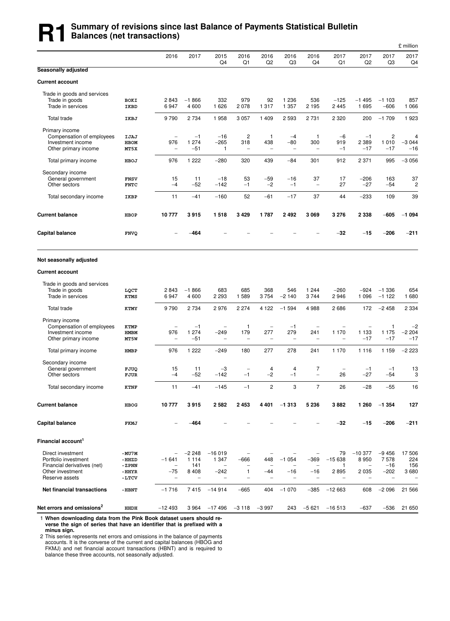# **R1** Summary of revisions since last Balance of Payments Statistical Bulletin<br> **R1** Balances (net transactions) **Balances (net transactions)**

|                                                     |                            |                                 |                  |                                     |                                  |                                          |                                     |                                 |                          |                           |                          | £ million              |
|-----------------------------------------------------|----------------------------|---------------------------------|------------------|-------------------------------------|----------------------------------|------------------------------------------|-------------------------------------|---------------------------------|--------------------------|---------------------------|--------------------------|------------------------|
|                                                     |                            | 2016                            | 2017             | 2015<br>Q4                          | 2016<br>Q1                       | 2016<br>Q <sub>2</sub>                   | 2016<br>Q <sub>3</sub>              | 2016<br>Q4                      | 2017<br>Q1               | 2017<br>Q <sub>2</sub>    | 2017<br>Q <sub>3</sub>   | 2017<br>Q <sub>4</sub> |
| Seasonally adjusted                                 |                            |                                 |                  |                                     |                                  |                                          |                                     |                                 |                          |                           |                          |                        |
| <b>Current account</b>                              |                            |                                 |                  |                                     |                                  |                                          |                                     |                                 |                          |                           |                          |                        |
| Trade in goods and services                         |                            |                                 |                  |                                     |                                  |                                          |                                     |                                 |                          |                           |                          |                        |
| Trade in goods<br>Trade in services                 | <b>BOKI</b><br>IKBD        | 2843<br>6947                    | $-1866$<br>4 600 | 332<br>1 6 2 6                      | 979<br>2078                      | 92<br>1 3 1 7                            | 1 2 3 6<br>1 3 5 7                  | 536<br>2 1 9 5                  | $-125$<br>2 4 4 5        | $-1495$<br>1 6 9 5        | $-1103$<br>$-606$        | 857<br>1 0 6 6         |
| Total trade                                         | IKBJ                       | 9790                            | 2 7 3 4          | 1958                                | 3 0 5 7                          | 1 4 0 9                                  | 2 5 9 3                             | 2731                            | 2 3 2 0                  | 200                       | $-1709$                  | 1923                   |
|                                                     |                            |                                 |                  |                                     |                                  |                                          |                                     |                                 |                          |                           |                          |                        |
| Primary income<br>Compensation of employees         | IJAJ                       | $\overline{\phantom{a}}$        | $-1$             | $-16$                               | $\overline{\mathbf{c}}$          | 1                                        | $-4$                                | $\mathbf{1}$                    | $-6$                     | $-1$                      | $\overline{c}$           | 4                      |
| Investment income                                   | HBOM                       | 976                             | 1 2 7 4          | $-265$                              | 318                              | 438                                      | $-80$                               | 300                             | 919                      | 2 3 8 9                   | 1010                     | $-3044$                |
| Other primary income                                | MT5X                       | $\overline{a}$                  | $-51$            | 1                                   | $\overline{\phantom{0}}$         | $\overline{\phantom{0}}$                 | $\overline{\phantom{a}}$            | $\overline{a}$                  | $-1$                     | $-17$                     | $-17$                    | $-16$                  |
| Total primary income                                | HBOJ                       | 976                             | 1 2 2 2          | $-280$                              | 320                              | 439                                      | $-84$                               | 301                             | 912                      | 2 3 7 1                   | 995                      | $-3056$                |
| Secondary income                                    |                            |                                 |                  |                                     |                                  |                                          |                                     |                                 |                          |                           |                          |                        |
| General government<br>Other sectors                 | <b>FNSV</b><br><b>FNTC</b> | 15<br>$-4$                      | 11<br>$-52$      | $-18$<br>$-142$                     | 53<br>$-1$                       | $-59$<br>$-2$                            | $-16$<br>$-1$                       | 37<br>$\overline{\phantom{a}}$  | 17<br>27                 | $-206$<br>-27             | 163<br>$-54$             | 37<br>$\overline{c}$   |
|                                                     |                            | 11                              | $-41$            | $-160$                              | 52                               | $-61$                                    | $-17$                               | 37                              | 44                       | $-233$                    | 109                      | 39                     |
| Total secondary income                              | IKBP                       |                                 |                  |                                     |                                  |                                          |                                     |                                 |                          |                           |                          |                        |
| <b>Current balance</b>                              | HBOP                       | 10777                           | 3915             | 1518                                | 3429                             | 1787                                     | 2 4 9 2                             | 3069                            | 3 2 7 6                  | 2 3 3 8                   | -605                     | $-1094$                |
| <b>Capital balance</b>                              | <b>FNVQ</b>                |                                 | -464             |                                     |                                  |                                          |                                     |                                 | $-32$                    | -15                       | $-206$                   | $-211$                 |
| Not seasonally adjusted                             |                            |                                 |                  |                                     |                                  |                                          |                                     |                                 |                          |                           |                          |                        |
| <b>Current account</b>                              |                            |                                 |                  |                                     |                                  |                                          |                                     |                                 |                          |                           |                          |                        |
| Trade in goods and services                         |                            |                                 |                  |                                     |                                  |                                          |                                     |                                 |                          |                           |                          |                        |
| Trade in goods<br>Trade in services                 | LQCT<br><b>KTMS</b>        | 2843<br>6947                    | $-1866$<br>4 600 | 683<br>2 2 9 3                      | 685<br>1589                      | 368<br>3754                              | 546<br>$-2140$                      | 1 2 4 4<br>3744                 | $-260$<br>2946           | $-924$<br>1 0 9 6         | $-1336$<br>$-1122$       | 654<br>1680            |
|                                                     |                            |                                 |                  |                                     |                                  |                                          |                                     |                                 |                          |                           |                          |                        |
| Total trade                                         | KTMY                       | 9790                            | 2 7 3 4          | 2976                                | 2 2 7 4                          | 4 1 2 2                                  | $-1594$                             | 4988                            | 2686                     | 172                       | $-2458$                  | 2 3 3 4                |
| Primary income                                      |                            |                                 |                  |                                     |                                  |                                          |                                     |                                 |                          |                           |                          |                        |
| Compensation of employees<br>Investment income      | <b>KTMP</b><br>HMBM        | $\overline{\phantom{a}}$<br>976 | $-1$<br>1 2 7 4  | L.<br>$-249$                        | 1<br>179                         | $\hspace{1.0cm} - \hspace{1.0cm}$<br>277 | $-1$<br>279                         | $\overline{\phantom{a}}$<br>241 | 1 1 7 0                  | 1 1 3 3                   | $\mathbf{1}$<br>1 1 7 5  | $-2$<br>$-2204$        |
| Other primary income                                | MT5W                       | ÷,                              | $-51$            | L.                                  | ۰                                | $\overline{\phantom{a}}$                 | $\overline{a}$                      | $\overline{\phantom{a}}$        | $\overline{\phantom{a}}$ | $-17$                     | $-17$                    | $-17$                  |
| Total primary income                                | <b>HMBP</b>                | 976                             | 1 2 2 2          | $-249$                              | 180                              | 277                                      | 278                                 | 241                             | 1 1 7 0                  | 1 1 1 6                   | 1 1 5 9                  | $-2223$                |
|                                                     |                            |                                 |                  |                                     |                                  |                                          |                                     |                                 |                          |                           |                          |                        |
| Secondary income<br>General government              |                            | 15                              | 11               | $-3$                                |                                  | 4                                        | 4                                   | 7                               |                          | $-1$                      | $-1$                     | 13                     |
| Other sectors                                       | FJUQ<br>FJUR               | $-4$                            | $-52$            | $-142$                              | $-1$                             | $-2$                                     | $-1$                                |                                 | 26                       | $-27$                     | $-54$                    | 3                      |
| Total secondary income                              | <b>KTNF</b>                | 11                              | $-41$            | $-145$                              | $-1$                             | $\overline{c}$                           | 3                                   | $\overline{7}$                  | 26                       | $-28$                     | $-55$                    | 16                     |
| <b>Current balance</b>                              | HBOG                       | 10777                           | 3915             | 2 5 8 2                             | 2453                             | 4 4 0 1                                  | $-1313$                             | 5236                            | 3882                     | 1 2 6 0                   | $-1354$                  | 127                    |
|                                                     |                            |                                 |                  |                                     |                                  |                                          |                                     |                                 |                          |                           |                          |                        |
| <b>Capital balance</b>                              | FKMJ                       |                                 | $-464$           |                                     |                                  |                                          |                                     |                                 | $-32$                    | $-15$                     | $-206$                   | -211                   |
| Financial account <sup>1</sup>                      |                            |                                 |                  |                                     |                                  |                                          |                                     |                                 |                          |                           |                          |                        |
| Direct investment                                   | -MU7M                      | $\overline{\phantom{0}}$        | $-2248$          | $-16019$                            | $\overline{\phantom{0}}$         |                                          |                                     | $\overline{\phantom{0}}$        | 79                       | $-10377$                  | $-9456$                  | 17 506                 |
| Portfolio investment<br>Financial derivatives (net) | -HHZD<br>-ZPNN             | $-1641$<br>$\qquad \qquad -$    | 1 1 1 4<br>141   | 1 3 4 7<br>$\overline{\phantom{0}}$ | -666<br>$\overline{\phantom{0}}$ | 448<br>$\overline{\phantom{0}}$          | $-1054$<br>$\overline{\phantom{0}}$ | $-369$<br>$\qquad \qquad -$     | $-15638$<br>1            | 8950<br>$\qquad \qquad -$ | 7578<br>$-16$            | 224<br>156             |
| Other investment                                    | $-HHYR$                    | $-75$                           | 8 4 0 8          | $-242$                              | 1                                | $-44$                                    | $-16$                               | $-16$                           | 2895                     | 2 0 3 5                   | $-202$                   | 3680                   |
| Reserve assets                                      | $-LTCV$                    | $\overline{\phantom{0}}$        |                  | $\overline{\phantom{0}}$            |                                  |                                          | $\overline{\phantom{0}}$            | $\overline{\phantom{0}}$        |                          |                           | $\overline{\phantom{m}}$ |                        |
| <b>Net financial transactions</b>                   | -HBNT                      | $-1716$                         | 7415             | $-14914$                            | $-665$                           | 404                                      | $-1070$                             | $-385$                          | $-12663$                 | 608                       | $-2096$                  | 21 566                 |
| Net errors and omissions <sup>2</sup>               | HHDH                       | $-12493$                        | 3964             | $-17496$                            | $-3118$                          | $-3997$                                  | 243                                 | $-5621$                         | $-16513$                 | $-637$                    | -536                     | 21 650                 |
|                                                     |                            |                                 |                  |                                     |                                  |                                          |                                     |                                 |                          |                           |                          |                        |

1 **When downloading data from the Pink Book dataset users should reverse the sign of series that have an identifier that is prefixed with a minus sign.**

2 This series represents net errors and omissions in the balance of payments accounts. It is the converse of the current and capital balances (HBOG and FKMJ) and net financial account transactions (HBNT) and is required to balance these three accounts, not seasonally adjusted.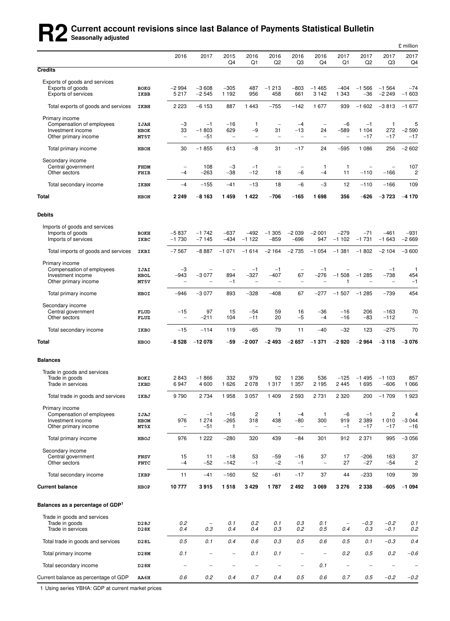# **R2** Current account revisions since last Balance of Payments Statistical Bulletin<br> **R2** Seasonally adjusted

|                                                                                          |                             |                                                             |                          |                                   |                                            |                                                            |                                                            |                                                     |                                            |                                    |                                    | £ million                      |
|------------------------------------------------------------------------------------------|-----------------------------|-------------------------------------------------------------|--------------------------|-----------------------------------|--------------------------------------------|------------------------------------------------------------|------------------------------------------------------------|-----------------------------------------------------|--------------------------------------------|------------------------------------|------------------------------------|--------------------------------|
|                                                                                          |                             | 2016                                                        | 2017                     | 2015<br>Q4                        | 2016<br>Q1                                 | 2016<br>Q <sub>2</sub>                                     | 2016<br>Q3                                                 | 2016<br>Q4                                          | 2017<br>Q1                                 | 2017<br>Q2                         | 2017<br>Q3                         | 2017<br>Q4                     |
| <b>Credits</b>                                                                           |                             |                                                             |                          |                                   |                                            |                                                            |                                                            |                                                     |                                            |                                    |                                    |                                |
| Exports of goods and services<br>Exports of goods<br>Exports of services                 | <b>BOKG</b><br>IKBB         | -2 994<br>5217                                              | $-3608$<br>$-2545$       | $-305$<br>1 1 9 2                 | 487<br>956                                 | $-1213$<br>458                                             | $-803$<br>661                                              | $-1465$<br>3 1 4 2                                  | $-404$<br>1 3 4 3                          | $-1566$<br>-36                     | $-1,564$<br>$-2249$                | $-74$<br>$-1603$               |
| Total exports of goods and services                                                      | IKBH                        | 2 2 2 3                                                     | $-6153$                  | 887                               | 1 4 4 3                                    | $-755$                                                     | -142                                                       | 1677                                                | 939                                        | $-1602$                            | $-3813$                            | $-1677$                        |
| Primary income<br>Compensation of employees<br>Investment income<br>Other primary income | <b>IJAH</b><br>HBOK<br>MT5T | -3<br>33<br>$\overline{\phantom{0}}$                        | $-1$<br>$-1803$<br>-51   | $-16$<br>629<br>$\qquad \qquad -$ | 1<br>-9<br>$\overline{\phantom{0}}$        | $\overline{\phantom{a}}$<br>31<br>$\overline{\phantom{0}}$ | $-4$<br>$-13$<br>$\overline{\phantom{a}}$                  | $\overline{\phantom{a}}$<br>24<br>$\qquad \qquad -$ | $-6$<br>$-589$<br>$\overline{\phantom{0}}$ | $-1$<br>1 1 0 4<br>$-17$           | $\mathbf{1}$<br>272<br>$-17$       | 5<br>$-2590$<br>$-17$          |
| Total primary income                                                                     | HBOH                        | 30                                                          | $-1855$                  | 613                               | $-8$                                       | 31                                                         | $-17$                                                      | 24                                                  | $-595$                                     | 1 0 8 6                            | 256                                | $-2602$                        |
| Secondary income<br>Central government<br>Other sectors                                  | FHDM<br>FHIB                | -4                                                          | 108<br>$-263$            | $-3$<br>$-38$                     | $-1$<br>$-12$                              | -<br>18                                                    | $-6$                                                       | $\mathbf{1}$<br>$-4$                                | 1<br>11                                    | $\overline{\phantom{a}}$<br>$-110$ | $-166$                             | 107<br>2                       |
| Total secondary income                                                                   | IKBN                        | $-4$                                                        | $-155$                   | $-41$                             | $-13$                                      | 18                                                         | $-6$                                                       | $-3$                                                | 12                                         | $-110$                             | $-166$                             | 109                            |
| <b>Total</b>                                                                             | <b>HBON</b>                 | 2 2 4 9                                                     | -8 163                   | 1459                              | 1422                                       | $-706$                                                     | $-165$                                                     | 1698                                                | 356                                        | $-626$                             | $-3723$                            | $-4170$                        |
| <b>Debits</b>                                                                            |                             |                                                             |                          |                                   |                                            |                                                            |                                                            |                                                     |                                            |                                    |                                    |                                |
| Imports of goods and services<br>Imports of goods<br>Imports of services                 | <b>BOKH</b><br>IKBC         | $-5837$<br>$-1730$                                          | $-1742$<br>$-7145$       | $-637$<br>$-434$                  | -492<br>$-1122$                            | $-1305$<br>-859                                            | $-2039$<br>$-696$                                          | $-2001$<br>947                                      | $-279$<br>$-1102$                          | $-71$<br>$-1731$                   | $-461$<br>$-1643$                  | $-931$<br>$-2669$              |
| Total imports of goods and services                                                      | IKBI                        | $-7567$                                                     | $-8887$                  | $-1071$                           | $-1614$                                    | $-2164$                                                    | $-2735$                                                    | $-1054$                                             | $-1.381$                                   | $-1802$                            | $-2104$                            | $-3600$                        |
| Primary income<br>Compensation of employees<br>Investment income<br>Other primary income | IJAI<br>HBOL<br>MT5V        | $-3$<br>$-943$<br>-                                         | $-3077$                  | -<br>894<br>$-1$                  | $-1$<br>$-327$<br>$\overline{\phantom{0}}$ | $-1$<br>$-407$<br>$\overline{\phantom{0}}$                 | $\overline{\phantom{a}}$<br>67<br>$\overline{\phantom{a}}$ | $-1$<br>$-276$<br>۰                                 | $-1508$<br>1                               | $-1285$                            | $-1$<br>$-738$<br>$\overline{a}$   | 1<br>454<br>$-1$               |
| Total primary income                                                                     | HBOI                        | $-946$                                                      | $-3077$                  | 893                               | $-328$                                     | $-408$                                                     | 67                                                         | $-277$                                              | $-1507$                                    | $-1285$                            | $-739$                             | 454                            |
| Secondary income<br>Central government<br>Other sectors                                  | FLUD<br>FLUZ                | $-15$<br>$\overline{\phantom{a}}$                           | 97<br>$-211$             | 15<br>104                         | $-54$<br>$-11$                             | 59<br>20                                                   | 16<br>$-5$                                                 | $-36$<br>$-4$                                       | $-16$<br>$-16$                             | 206<br>$-83$                       | $-163$<br>$-112$                   | 70<br>$\overline{\phantom{0}}$ |
| Total secondary income                                                                   | IKBO                        | $-15$                                                       | $-114$                   | 119                               | $-65$                                      | 79                                                         | 11                                                         | $-40$                                               | -32                                        | 123                                | $-275$                             | 70                             |
| Total                                                                                    | <b>HBOO</b>                 | -8 528                                                      | $-12078$                 | -59                               | $-2007$                                    | $-2493$                                                    | $-2657$                                                    | $-1371$                                             | $-2920$                                    | $-2964$                            | $-3118$                            | $-3076$                        |
| <b>Balances</b>                                                                          |                             |                                                             |                          |                                   |                                            |                                                            |                                                            |                                                     |                                            |                                    |                                    |                                |
| Trade in goods and services<br>Trade in goods<br>Trade in services                       | BOKI<br>IKBD                | 2843<br>6947                                                | $-1866$<br>4 600         | 332<br>1626                       | 979<br>2 0 7 8                             | 92<br>1 3 1 7                                              | 1 2 3 6<br>1 3 5 7                                         | 536<br>2 1 9 5                                      | $-125$<br>2445                             | $-1495$<br>1695                    | $-1103$<br>$-606$                  | 857<br>1 0 6 6                 |
| Total trade in goods and services                                                        | IKBJ                        | 9790                                                        | 2 7 3 4                  | 1958                              | 3 0 5 7                                    | 1 4 0 9                                                    | 2 5 9 3                                                    | 2731                                                | 2 3 2 0                                    | 200                                | $-1709$                            | 1923                           |
| Primary income<br>Compensation of employees<br>Investment income<br>Other primary income | IJAJ<br>HBOM<br>MT5X        | $\overline{\phantom{0}}$<br>976<br>$\overline{\phantom{0}}$ | $-1$<br>1 2 7 4<br>$-51$ | $-16$<br>$-265$<br>1              | 2<br>318<br>$\overline{\phantom{0}}$       | $\mathbf{1}$<br>438<br>$\overline{\phantom{0}}$            | $-4$<br>$-80$<br>$\overline{\phantom{0}}$                  | $\mathbf{1}$<br>300<br>$\qquad \qquad -$            | $-6$<br>919<br>$-1$                        | $-1$<br>2 3 8 9<br>$-17$           | $\overline{c}$<br>1 0 1 0<br>$-17$ | 4<br>$-3044$<br>$-16$          |
| Total primary income                                                                     | HBOJ                        | 976                                                         | 1 2 2 2                  | $-280$                            | 320                                        | 439                                                        | $-84$                                                      | 301                                                 | 912                                        | 2 3 7 1                            | 995                                | $-3056$                        |
| Secondary income<br>Central government<br>Other sectors                                  | <b>FNSV</b><br><b>FNTC</b>  | 15<br>$-4$                                                  | 11<br>$-52$              | $-18$<br>$-142$                   | 53<br>$-1$                                 | -59<br>$-2$                                                | $-16$<br>$-1$                                              | 37<br>$\qquad \qquad -$                             | 17<br>27                                   | $-206$<br>$-27$                    | 163<br>$-54$                       | 37<br>2                        |
| Total secondary income                                                                   | IKBP                        | 11                                                          | $-41$                    | $-160$                            | 52                                         | $-61$                                                      | $-17$                                                      | 37                                                  | 44                                         | $-233$                             | 109                                | 39                             |
| <b>Current balance</b>                                                                   | HBOP                        | 10777                                                       | 3915                     | 1518                              | 3429                                       | 1787                                                       | 2492                                                       | 3069                                                | 3 2 7 6                                    | 2 3 3 8                            | $-605$                             | $-1094$                        |
| Balances as a percentage of GDP <sup>1</sup>                                             |                             |                                                             |                          |                                   |                                            |                                                            |                                                            |                                                     |                                            |                                    |                                    |                                |
| Trade in goods and services<br>Trade in goods<br>Trade in services                       | D28J<br>D28K                | 0.2<br>0.4                                                  | $\qquad \qquad -$<br>0.3 | 0.1<br>0.4                        | 0.2<br>0.4                                 | 0.1<br>0.3                                                 | 0.3<br>0.2                                                 | 0.1<br>0.5                                          | $\overline{\phantom{a}}$<br>0.4            | $-0.3$<br>0.3                      | $-0.2$<br>$-0.1$                   | 0.1<br>0.2                     |
| Total trade in goods and services                                                        | D28L                        | 0.5                                                         | 0.1                      | 0.4                               | 0.6                                        | 0.3                                                        | 0.5                                                        | 0.6                                                 | 0.5                                        | 0.1                                | $-0.3$                             | 0.4                            |
| Total primary income                                                                     | D28M                        | 0.1                                                         | $\overline{\phantom{0}}$ | $\overline{\phantom{0}}$          | 0.1                                        | 0.1                                                        | $\overline{\phantom{0}}$                                   | $\hspace{1.0cm} - \hspace{1.0cm}$                   | 0.2                                        | 0.5                                | 0.2                                | $-0.6$                         |
| Total secondary income                                                                   | D28N                        | $\overline{\phantom{0}}$                                    | $\overline{\phantom{0}}$ | $\overline{\phantom{a}}$          | $\overline{\phantom{0}}$                   | $\overline{\phantom{a}}$                                   | $\overline{\phantom{a}}$                                   | 0.1                                                 | $\qquad \qquad -$                          | $\overline{\phantom{0}}$           | $\overline{a}$                     | $\overline{a}$                 |
| Current balance as percentage of GDP                                                     | AA6H                        | 0.6                                                         | 0.2                      | 0.4                               | 0.7                                        | 0.4                                                        | 0.5                                                        | 0.6                                                 | 0.7                                        | 0.5                                | $-0.2$                             | $-0.2$                         |

1 Using series YBHA: GDP at current market prices